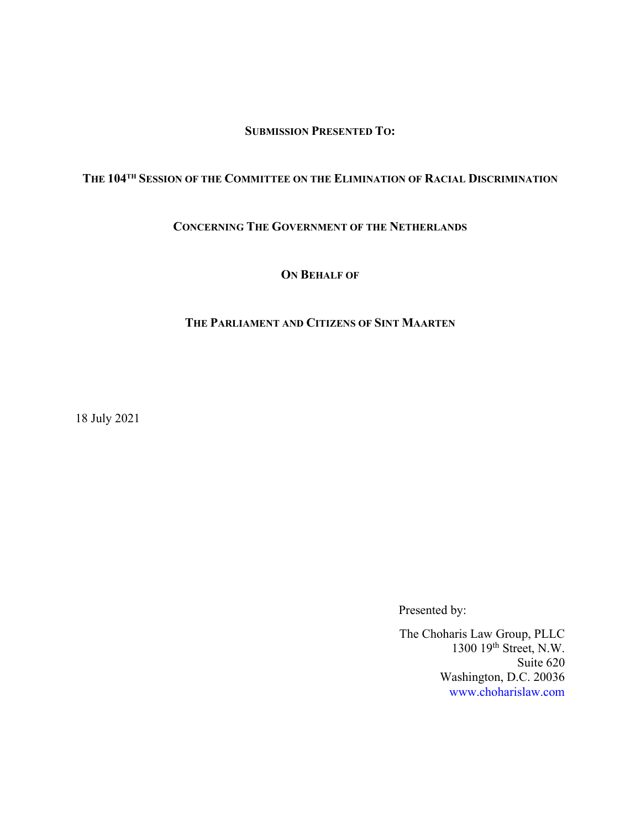SUBMISSION PRESENTED TO:

# THE 104TH SESSION OF THE COMMITTEE ON THE ELIMINATION OF RACIAL DISCRIMINATION

#### CONCERNING THE GOVERNMENT OF THE NETHERLANDS

ON BEHALF OF

#### THE PARLIAMENT AND CITIZENS OF SINT MAARTEN

18 July 2021

Presented by:

The Choharis Law Group, PLLC 1300 19<sup>th</sup> Street, N.W. Suite 620 Washington, D.C. 20036 www.choharislaw.com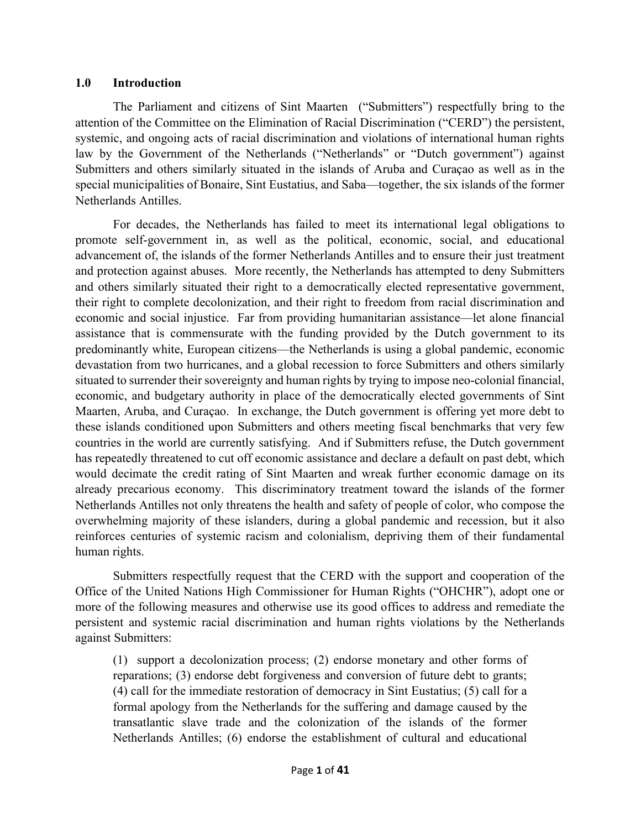#### 1.0 Introduction

The Parliament and citizens of Sint Maarten ("Submitters") respectfully bring to the attention of the Committee on the Elimination of Racial Discrimination ("CERD") the persistent, systemic, and ongoing acts of racial discrimination and violations of international human rights law by the Government of the Netherlands ("Netherlands" or "Dutch government") against Submitters and others similarly situated in the islands of Aruba and Curaçao as well as in the special municipalities of Bonaire, Sint Eustatius, and Saba—together, the six islands of the former Netherlands Antilles.

For decades, the Netherlands has failed to meet its international legal obligations to promote self-government in, as well as the political, economic, social, and educational advancement of, the islands of the former Netherlands Antilles and to ensure their just treatment and protection against abuses. More recently, the Netherlands has attempted to deny Submitters and others similarly situated their right to a democratically elected representative government, their right to complete decolonization, and their right to freedom from racial discrimination and economic and social injustice. Far from providing humanitarian assistance—let alone financial assistance that is commensurate with the funding provided by the Dutch government to its predominantly white, European citizens—the Netherlands is using a global pandemic, economic devastation from two hurricanes, and a global recession to force Submitters and others similarly situated to surrender their sovereignty and human rights by trying to impose neo-colonial financial, economic, and budgetary authority in place of the democratically elected governments of Sint Maarten, Aruba, and Curaçao. In exchange, the Dutch government is offering yet more debt to these islands conditioned upon Submitters and others meeting fiscal benchmarks that very few countries in the world are currently satisfying. And if Submitters refuse, the Dutch government has repeatedly threatened to cut off economic assistance and declare a default on past debt, which would decimate the credit rating of Sint Maarten and wreak further economic damage on its already precarious economy. This discriminatory treatment toward the islands of the former Netherlands Antilles not only threatens the health and safety of people of color, who compose the overwhelming majority of these islanders, during a global pandemic and recession, but it also reinforces centuries of systemic racism and colonialism, depriving them of their fundamental human rights.

Submitters respectfully request that the CERD with the support and cooperation of the Office of the United Nations High Commissioner for Human Rights ("OHCHR"), adopt one or more of the following measures and otherwise use its good offices to address and remediate the persistent and systemic racial discrimination and human rights violations by the Netherlands against Submitters:

(1) support a decolonization process; (2) endorse monetary and other forms of reparations; (3) endorse debt forgiveness and conversion of future debt to grants; (4) call for the immediate restoration of democracy in Sint Eustatius; (5) call for a formal apology from the Netherlands for the suffering and damage caused by the transatlantic slave trade and the colonization of the islands of the former Netherlands Antilles; (6) endorse the establishment of cultural and educational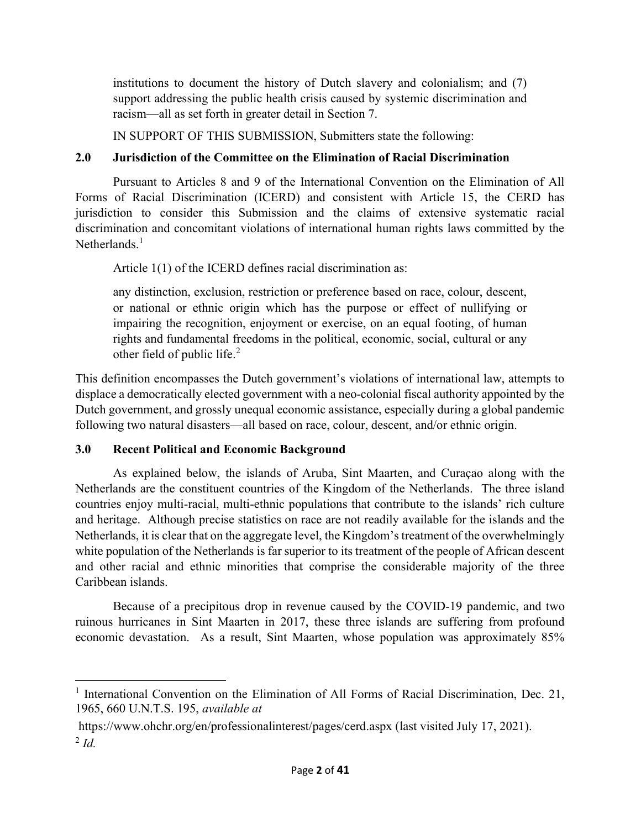institutions to document the history of Dutch slavery and colonialism; and (7) support addressing the public health crisis caused by systemic discrimination and racism—all as set forth in greater detail in Section 7.

IN SUPPORT OF THIS SUBMISSION, Submitters state the following:

# 2.0 Jurisdiction of the Committee on the Elimination of Racial Discrimination

Pursuant to Articles 8 and 9 of the International Convention on the Elimination of All Forms of Racial Discrimination (ICERD) and consistent with Article 15, the CERD has jurisdiction to consider this Submission and the claims of extensive systematic racial discrimination and concomitant violations of international human rights laws committed by the Netherlands $<sup>1</sup>$ </sup>

Article 1(1) of the ICERD defines racial discrimination as:

any distinction, exclusion, restriction or preference based on race, colour, descent, or national or ethnic origin which has the purpose or effect of nullifying or impairing the recognition, enjoyment or exercise, on an equal footing, of human rights and fundamental freedoms in the political, economic, social, cultural or any other field of public life.<sup>2</sup>

This definition encompasses the Dutch government's violations of international law, attempts to displace a democratically elected government with a neo-colonial fiscal authority appointed by the Dutch government, and grossly unequal economic assistance, especially during a global pandemic following two natural disasters—all based on race, colour, descent, and/or ethnic origin.

# 3.0 Recent Political and Economic Background

As explained below, the islands of Aruba, Sint Maarten, and Curaçao along with the Netherlands are the constituent countries of the Kingdom of the Netherlands. The three island countries enjoy multi-racial, multi-ethnic populations that contribute to the islands' rich culture and heritage. Although precise statistics on race are not readily available for the islands and the Netherlands, it is clear that on the aggregate level, the Kingdom's treatment of the overwhelmingly white population of the Netherlands is far superior to its treatment of the people of African descent and other racial and ethnic minorities that comprise the considerable majority of the three Caribbean islands.

Because of a precipitous drop in revenue caused by the COVID-19 pandemic, and two ruinous hurricanes in Sint Maarten in 2017, these three islands are suffering from profound economic devastation. As a result, Sint Maarten, whose population was approximately 85%

<sup>&</sup>lt;sup>1</sup> International Convention on the Elimination of All Forms of Racial Discrimination, Dec. 21, 1965, 660 U.N.T.S. 195, available at

https://www.ohchr.org/en/professionalinterest/pages/cerd.aspx (last visited July 17, 2021).  $2$  Id.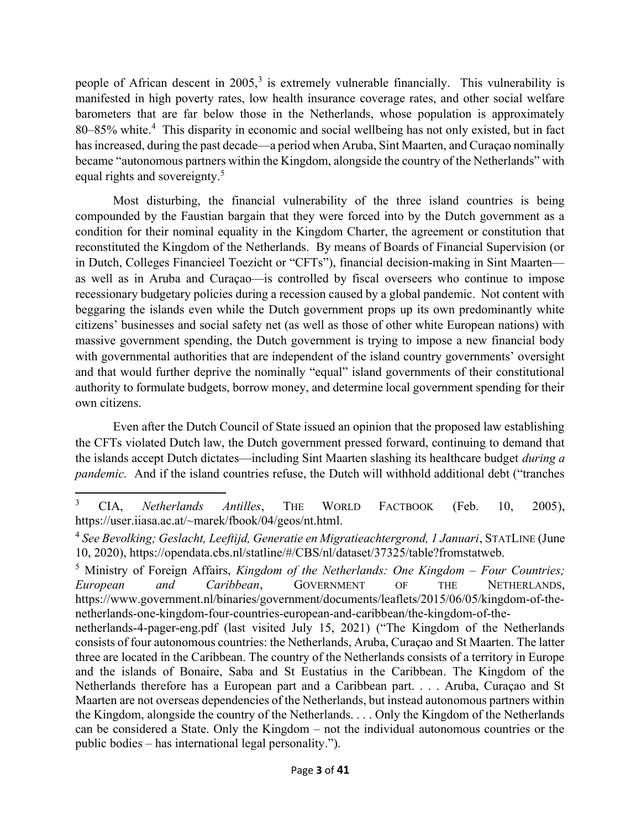people of African descent in  $2005$ ,<sup>3</sup> is extremely vulnerable financially. This vulnerability is manifested in high poverty rates, low health insurance coverage rates, and other social welfare barometers that are far below those in the Netherlands, whose population is approximately 80–85% white.<sup>4</sup> This disparity in economic and social wellbeing has not only existed, but in fact has increased, during the past decade—a period when Aruba, Sint Maarten, and Curaçao nominally became "autonomous partners within the Kingdom, alongside the country of the Netherlands" with equal rights and sovereignty.<sup>5</sup>

Most disturbing, the financial vulnerability of the three island countries is being compounded by the Faustian bargain that they were forced into by the Dutch government as a condition for their nominal equality in the Kingdom Charter, the agreement or constitution that reconstituted the Kingdom of the Netherlands. By means of Boards of Financial Supervision (or in Dutch, Colleges Financieel Toezicht or "CFTs"), financial decision-making in Sint Maarten as well as in Aruba and Curaçao—is controlled by fiscal overseers who continue to impose recessionary budgetary policies during a recession caused by a global pandemic. Not content with beggaring the islands even while the Dutch government props up its own predominantly white citizens' businesses and social safety net (as well as those of other white European nations) with massive government spending, the Dutch government is trying to impose a new financial body with governmental authorities that are independent of the island country governments' oversight and that would further deprive the nominally "equal" island governments of their constitutional authority to formulate budgets, borrow money, and determine local government spending for their own citizens.

Even after the Dutch Council of State issued an opinion that the proposed law establishing the CFTs violated Dutch law, the Dutch government pressed forward, continuing to demand that the islands accept Dutch dictates—including Sint Maarten slashing its healthcare budget *during a* pandemic. And if the island countries refuse, the Dutch will withhold additional debt ("tranches

<sup>3</sup> CIA, Netherlands Antilles, THE WORLD FACTBOOK (Feb. 10, 2005), https://user.iiasa.ac.at/~marek/fbook/04/geos/nt.html.

<sup>&</sup>lt;sup>4</sup> See Bevolking; Geslacht, Leeftijd, Generatie en Migratieachtergrond, 1 Januari, STATLINE (June 10, 2020), https://opendata.cbs.nl/statline/#/CBS/nl/dataset/37325/table?fromstatweb.

<sup>&</sup>lt;sup>5</sup> Ministry of Foreign Affairs, *Kingdom of the Netherlands: One Kingdom – Four Countries;* European and Caribbean, GOVERNMENT OF THE NETHERLANDS, https://www.government.nl/binaries/government/documents/leaflets/2015/06/05/kingdom-of-thenetherlands-one-kingdom-four-countries-european-and-caribbean/the-kingdom-of-the-

netherlands-4-pager-eng.pdf (last visited July 15, 2021) ("The Kingdom of the Netherlands consists of four autonomous countries: the Netherlands, Aruba, Curaçao and St Maarten. The latter three are located in the Caribbean. The country of the Netherlands consists of a territory in Europe and the islands of Bonaire, Saba and St Eustatius in the Caribbean. The Kingdom of the Netherlands therefore has a European part and a Caribbean part. . . . Aruba, Curaçao and St Maarten are not overseas dependencies of the Netherlands, but instead autonomous partners within the Kingdom, alongside the country of the Netherlands. . . . Only the Kingdom of the Netherlands can be considered a State. Only the Kingdom – not the individual autonomous countries or the public bodies – has international legal personality.").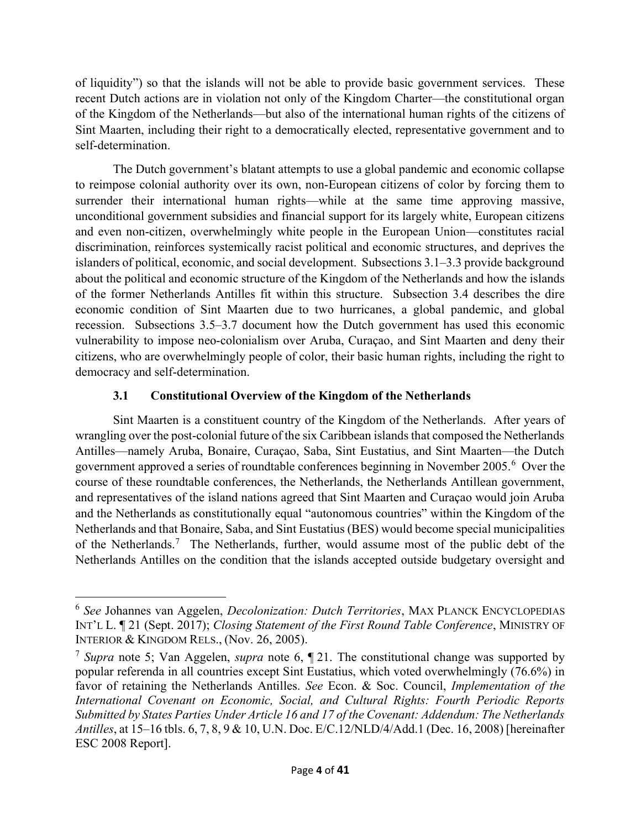of liquidity") so that the islands will not be able to provide basic government services. These recent Dutch actions are in violation not only of the Kingdom Charter—the constitutional organ of the Kingdom of the Netherlands—but also of the international human rights of the citizens of Sint Maarten, including their right to a democratically elected, representative government and to self-determination.

The Dutch government's blatant attempts to use a global pandemic and economic collapse to reimpose colonial authority over its own, non-European citizens of color by forcing them to surrender their international human rights—while at the same time approving massive, unconditional government subsidies and financial support for its largely white, European citizens and even non-citizen, overwhelmingly white people in the European Union—constitutes racial discrimination, reinforces systemically racist political and economic structures, and deprives the islanders of political, economic, and social development. Subsections 3.1–3.3 provide background about the political and economic structure of the Kingdom of the Netherlands and how the islands of the former Netherlands Antilles fit within this structure. Subsection 3.4 describes the dire economic condition of Sint Maarten due to two hurricanes, a global pandemic, and global recession. Subsections 3.5–3.7 document how the Dutch government has used this economic vulnerability to impose neo-colonialism over Aruba, Curaçao, and Sint Maarten and deny their citizens, who are overwhelmingly people of color, their basic human rights, including the right to democracy and self-determination.

# 3.1 Constitutional Overview of the Kingdom of the Netherlands

Sint Maarten is a constituent country of the Kingdom of the Netherlands. After years of wrangling over the post-colonial future of the six Caribbean islands that composed the Netherlands Antilles—namely Aruba, Bonaire, Curaçao, Saba, Sint Eustatius, and Sint Maarten—the Dutch government approved a series of roundtable conferences beginning in November 2005.<sup>6</sup> Over the course of these roundtable conferences, the Netherlands, the Netherlands Antillean government, and representatives of the island nations agreed that Sint Maarten and Curaçao would join Aruba and the Netherlands as constitutionally equal "autonomous countries" within the Kingdom of the Netherlands and that Bonaire, Saba, and Sint Eustatius (BES) would become special municipalities of the Netherlands.<sup>7</sup> The Netherlands, further, would assume most of the public debt of the Netherlands Antilles on the condition that the islands accepted outside budgetary oversight and

<sup>6</sup> See Johannes van Aggelen, Decolonization: Dutch Territories, MAX PLANCK ENCYCLOPEDIAS INT'L L. ¶ 21 (Sept. 2017); Closing Statement of the First Round Table Conference, MINISTRY OF INTERIOR & KINGDOM RELS., (Nov. 26, 2005).

<sup>&</sup>lt;sup>7</sup> Supra note 5; Van Aggelen, *supra* note 6,  $\P$  21. The constitutional change was supported by popular referenda in all countries except Sint Eustatius, which voted overwhelmingly (76.6%) in favor of retaining the Netherlands Antilles. See Econ. & Soc. Council, *Implementation of the* International Covenant on Economic, Social, and Cultural Rights: Fourth Periodic Reports Submitted by States Parties Under Article 16 and 17 of the Covenant: Addendum: The Netherlands Antilles, at 15–16 tbls. 6, 7, 8, 9 & 10, U.N. Doc. E/C.12/NLD/4/Add.1 (Dec. 16, 2008) [hereinafter ESC 2008 Report].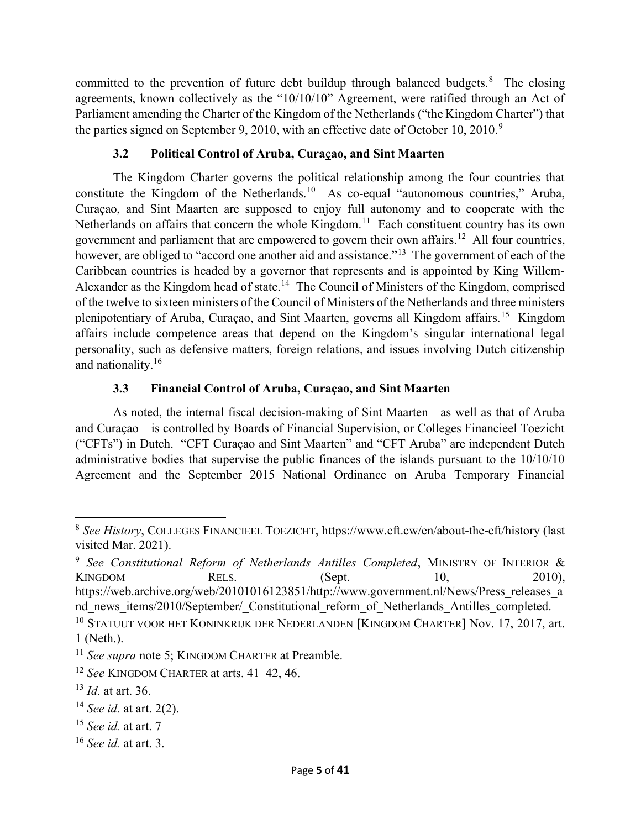committed to the prevention of future debt buildup through balanced budgets. $8$  The closing agreements, known collectively as the "10/10/10" Agreement, were ratified through an Act of Parliament amending the Charter of the Kingdom of the Netherlands ("the Kingdom Charter") that the parties signed on September 9, 2010, with an effective date of October 10,  $2010$ .<sup>9</sup>

# 3.2 Political Control of Aruba, Curaçao, and Sint Maarten

The Kingdom Charter governs the political relationship among the four countries that constitute the Kingdom of the Netherlands.<sup>10</sup> As co-equal "autonomous countries," Aruba, Curaçao, and Sint Maarten are supposed to enjoy full autonomy and to cooperate with the Netherlands on affairs that concern the whole Kingdom.<sup>11</sup> Each constituent country has its own government and parliament that are empowered to govern their own affairs.<sup>12</sup> All four countries, however, are obliged to "accord one another aid and assistance."<sup>13</sup> The government of each of the Caribbean countries is headed by a governor that represents and is appointed by King Willem-Alexander as the Kingdom head of state.<sup>14</sup> The Council of Ministers of the Kingdom, comprised of the twelve to sixteen ministers of the Council of Ministers of the Netherlands and three ministers plenipotentiary of Aruba, Curaçao, and Sint Maarten, governs all Kingdom affairs.<sup>15</sup> Kingdom affairs include competence areas that depend on the Kingdom's singular international legal personality, such as defensive matters, foreign relations, and issues involving Dutch citizenship and nationality.<sup>16</sup>

# 3.3 Financial Control of Aruba, Curaçao, and Sint Maarten

As noted, the internal fiscal decision-making of Sint Maarten—as well as that of Aruba and Curaçao—is controlled by Boards of Financial Supervision, or Colleges Financieel Toezicht ("CFTs") in Dutch. "CFT Curaçao and Sint Maarten" and "CFT Aruba" are independent Dutch administrative bodies that supervise the public finances of the islands pursuant to the 10/10/10 Agreement and the September 2015 National Ordinance on Aruba Temporary Financial

<sup>&</sup>lt;sup>8</sup> See History, COLLEGES FINANCIEEL TOEZICHT, https://www.cft.cw/en/about-the-cft/history (last visited Mar. 2021).

 $9$  See Constitutional Reform of Netherlands Antilles Completed, MINISTRY OF INTERIOR & KINGDOM RELS. (Sept. 10, 2010), https://web.archive.org/web/20101016123851/http://www.government.nl/News/Press\_releases\_a nd news items/2010/September/ Constitutional reform of Netherlands Antilles completed.

<sup>&</sup>lt;sup>10</sup> STATUUT VOOR HET KONINKRIJK DER NEDERLANDEN [KINGDOM CHARTER] Nov. 17, 2017, art. 1 (Neth.).

<sup>&</sup>lt;sup>11</sup> See supra note 5; KINGDOM CHARTER at Preamble.

 $12$  See KINGDOM CHARTER at arts.  $41-42$ , 46.

 $^{13}$  *Id.* at art. 36.

 $14$  *See id.* at art. 2(2).

 $15$  See id. at art. 7

 $16$  See id. at art. 3.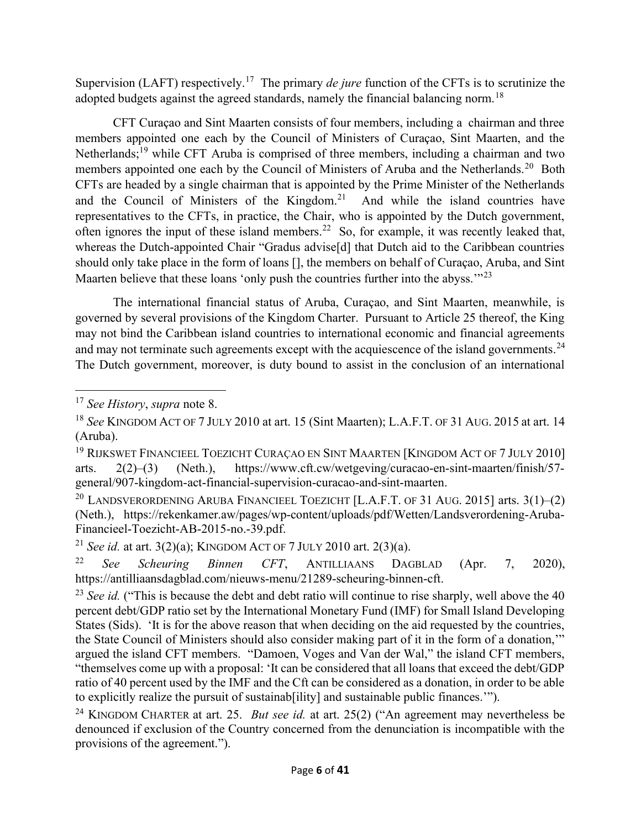Supervision (LAFT) respectively.<sup>17</sup> The primary *de jure* function of the CFTs is to scrutinize the adopted budgets against the agreed standards, namely the financial balancing norm.<sup>18</sup>

CFT Curaçao and Sint Maarten consists of four members, including a chairman and three members appointed one each by the Council of Ministers of Curaçao, Sint Maarten, and the Netherlands;<sup>19</sup> while CFT Aruba is comprised of three members, including a chairman and two members appointed one each by the Council of Ministers of Aruba and the Netherlands.<sup>20</sup> Both CFTs are headed by a single chairman that is appointed by the Prime Minister of the Netherlands and the Council of Ministers of the Kingdom.<sup>21</sup> And while the island countries have representatives to the CFTs, in practice, the Chair, who is appointed by the Dutch government, often ignores the input of these island members.<sup>22</sup> So, for example, it was recently leaked that, whereas the Dutch-appointed Chair "Gradus advise[d] that Dutch aid to the Caribbean countries should only take place in the form of loans [], the members on behalf of Curaçao, Aruba, and Sint Maarten believe that these loans 'only push the countries further into the abyss.'"<sup>23</sup>

The international financial status of Aruba, Curaçao, and Sint Maarten, meanwhile, is governed by several provisions of the Kingdom Charter. Pursuant to Article 25 thereof, the King may not bind the Caribbean island countries to international economic and financial agreements and may not terminate such agreements except with the acquiescence of the island governments.<sup>24</sup> The Dutch government, moreover, is duty bound to assist in the conclusion of an international

 $17$  See History, supra note 8.

<sup>&</sup>lt;sup>18</sup> See KINGDOM ACT OF 7 JULY 2010 at art. 15 (Sint Maarten); L.A.F.T. OF 31 AUG. 2015 at art. 14 (Aruba).

<sup>&</sup>lt;sup>19</sup> RIJKSWET FINANCIEEL TOEZICHT CURAÇAO EN SINT MAARTEN [KINGDOM ACT OF 7 JULY 2010] arts. 2(2)–(3) (Neth.), https://www.cft.cw/wetgeving/curacao-en-sint-maarten/finish/57 general/907-kingdom-act-financial-supervision-curacao-and-sint-maarten.

<sup>&</sup>lt;sup>20</sup> LANDSVERORDENING ARUBA FINANCIEEL TOEZICHT [L.A.F.T. OF 31 AUG. 2015] arts.  $3(1)$ – $(2)$ (Neth.), https://rekenkamer.aw/pages/wp-content/uploads/pdf/Wetten/Landsverordening-Aruba-Financieel-Toezicht-AB-2015-no.-39.pdf.

<sup>&</sup>lt;sup>21</sup> See id. at art. 3(2)(a); KINGDOM ACT OF 7 JULY 2010 art. 2(3)(a).

<sup>&</sup>lt;sup>22</sup> See Scheuring Binnen CFT, ANTILLIAANS DAGBLAD (Apr. 7, 2020), https://antilliaansdagblad.com/nieuws-menu/21289-scheuring-binnen-cft.

<sup>&</sup>lt;sup>23</sup> See id. ("This is because the debt and debt ratio will continue to rise sharply, well above the 40 percent debt/GDP ratio set by the International Monetary Fund (IMF) for Small Island Developing States (Sids). 'It is for the above reason that when deciding on the aid requested by the countries, the State Council of Ministers should also consider making part of it in the form of a donation,'" argued the island CFT members. "Damoen, Voges and Van der Wal," the island CFT members,

<sup>&</sup>quot;themselves come up with a proposal: 'It can be considered that all loans that exceed the debt/GDP ratio of 40 percent used by the IMF and the Cft can be considered as a donation, in order to be able to explicitly realize the pursuit of sustainab[ility] and sustainable public finances.'").

<sup>&</sup>lt;sup>24</sup> KINGDOM CHARTER at art. 25. *But see id.* at art. 25(2) ("An agreement may nevertheless be denounced if exclusion of the Country concerned from the denunciation is incompatible with the provisions of the agreement.").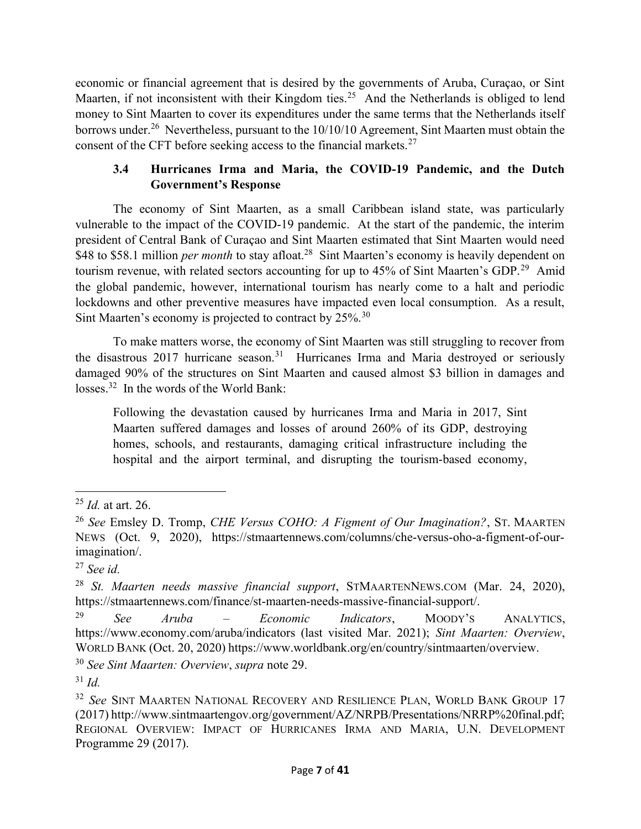economic or financial agreement that is desired by the governments of Aruba, Curaçao, or Sint Maarten, if not inconsistent with their Kingdom ties.<sup>25</sup> And the Netherlands is obliged to lend money to Sint Maarten to cover its expenditures under the same terms that the Netherlands itself borrows under.<sup>26</sup> Nevertheless, pursuant to the 10/10/10 Agreement, Sint Maarten must obtain the consent of the CFT before seeking access to the financial markets.<sup>27</sup>

### 3.4 Hurricanes Irma and Maria, the COVID-19 Pandemic, and the Dutch Government's Response

The economy of Sint Maarten, as a small Caribbean island state, was particularly vulnerable to the impact of the COVID-19 pandemic. At the start of the pandemic, the interim president of Central Bank of Curaçao and Sint Maarten estimated that Sint Maarten would need \$48 to \$58.1 million *per month* to stay afloat.<sup>28</sup> Sint Maarten's economy is heavily dependent on tourism revenue, with related sectors accounting for up to 45% of Sint Maarten's GDP.<sup>29</sup> Amid the global pandemic, however, international tourism has nearly come to a halt and periodic lockdowns and other preventive measures have impacted even local consumption. As a result, Sint Maarten's economy is projected to contract by 25%.<sup>30</sup>

To make matters worse, the economy of Sint Maarten was still struggling to recover from the disastrous 2017 hurricane season.<sup>31</sup> Hurricanes Irma and Maria destroyed or seriously damaged 90% of the structures on Sint Maarten and caused almost \$3 billion in damages and losses.<sup>32</sup> In the words of the World Bank:

Following the devastation caused by hurricanes Irma and Maria in 2017, Sint Maarten suffered damages and losses of around 260% of its GDP, destroying homes, schools, and restaurants, damaging critical infrastructure including the hospital and the airport terminal, and disrupting the tourism-based economy,

 $^{25}$  *Id.* at art. 26.

<sup>&</sup>lt;sup>26</sup> See Emsley D. Tromp, *CHE Versus COHO: A Figment of Our Imagination*?, ST. MAARTEN NEWS (Oct. 9, 2020), https://stmaartennews.com/columns/che-versus-oho-a-figment-of-ourimagination/.

 $27$  See id.

<sup>&</sup>lt;sup>28</sup> St. Maarten needs massive financial support, STMAARTENNEWS.COM (Mar. 24, 2020), https://stmaartennews.com/finance/st-maarten-needs-massive-financial-support/.

 $29$  See Aruba – Economic Indicators, MOODY's ANALYTICS. https://www.economy.com/aruba/indicators (last visited Mar. 2021); Sint Maarten: Overview, WORLD BANK (Oct. 20, 2020) https://www.worldbank.org/en/country/sintmaarten/overview.

<sup>30</sup> See Sint Maarten: Overview, supra note 29.

 $31$  *Id.* 

<sup>&</sup>lt;sup>32</sup> See SINT MAARTEN NATIONAL RECOVERY AND RESILIENCE PLAN, WORLD BANK GROUP 17 (2017) http://www.sintmaartengov.org/government/AZ/NRPB/Presentations/NRRP%20final.pdf; REGIONAL OVERVIEW: IMPACT OF HURRICANES IRMA AND MARIA, U.N. DEVELOPMENT Programme 29 (2017).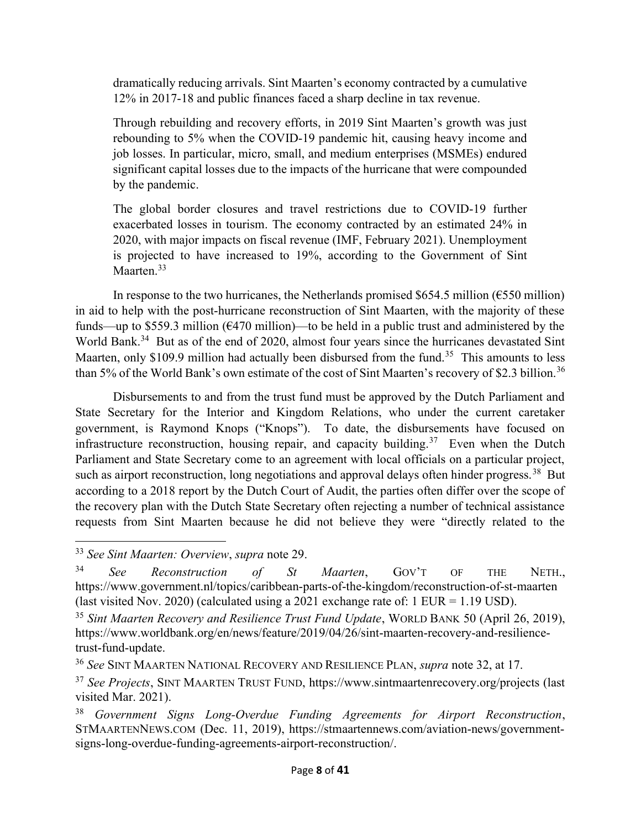dramatically reducing arrivals. Sint Maarten's economy contracted by a cumulative 12% in 2017-18 and public finances faced a sharp decline in tax revenue.

Through rebuilding and recovery efforts, in 2019 Sint Maarten's growth was just rebounding to 5% when the COVID-19 pandemic hit, causing heavy income and job losses. In particular, micro, small, and medium enterprises (MSMEs) endured significant capital losses due to the impacts of the hurricane that were compounded by the pandemic.

The global border closures and travel restrictions due to COVID-19 further exacerbated losses in tourism. The economy contracted by an estimated 24% in 2020, with major impacts on fiscal revenue (IMF, February 2021). Unemployment is projected to have increased to 19%, according to the Government of Sint Maarten.<sup>33</sup>

In response to the two hurricanes, the Netherlands promised \$654.5 million ( $\epsilon$ 550 million) in aid to help with the post-hurricane reconstruction of Sint Maarten, with the majority of these funds—up to \$559.3 million (€470 million)—to be held in a public trust and administered by the World Bank.<sup>34</sup> But as of the end of 2020, almost four years since the hurricanes devastated Sint Maarten, only \$109.9 million had actually been disbursed from the fund.<sup>35</sup> This amounts to less than 5% of the World Bank's own estimate of the cost of Sint Maarten's recovery of \$2.3 billion.<sup>36</sup>

Disbursements to and from the trust fund must be approved by the Dutch Parliament and State Secretary for the Interior and Kingdom Relations, who under the current caretaker government, is Raymond Knops ("Knops"). To date, the disbursements have focused on infrastructure reconstruction, housing repair, and capacity building.<sup>37</sup> Even when the Dutch Parliament and State Secretary come to an agreement with local officials on a particular project, such as airport reconstruction, long negotiations and approval delays often hinder progress.<sup>38</sup> But according to a 2018 report by the Dutch Court of Audit, the parties often differ over the scope of the recovery plan with the Dutch State Secretary often rejecting a number of technical assistance requests from Sint Maarten because he did not believe they were "directly related to the

<sup>&</sup>lt;sup>33</sup> See Sint Maarten: Overview, supra note 29.

 $34$  See Reconstruction of St Maarten, GOV'T OF THE NETH. https://www.government.nl/topics/caribbean-parts-of-the-kingdom/reconstruction-of-st-maarten (last visited Nov. 2020) (calculated using a 2021 exchange rate of:  $1$  EUR = 1.19 USD).

 $35$  Sint Maarten Recovery and Resilience Trust Fund Update, WORLD BANK 50 (April 26, 2019), https://www.worldbank.org/en/news/feature/2019/04/26/sint-maarten-recovery-and-resiliencetrust-fund-update.

<sup>&</sup>lt;sup>36</sup> See SINT MAARTEN NATIONAL RECOVERY AND RESILIENCE PLAN, *supra* note 32, at 17.

<sup>&</sup>lt;sup>37</sup> See Projects, SINT MAARTEN TRUST FUND, https://www.sintmaartenrecovery.org/projects (last visited Mar. 2021).

 $38$  Government Signs Long-Overdue Funding Agreements for Airport Reconstruction, STMAARTENNEWS.COM (Dec. 11, 2019), https://stmaartennews.com/aviation-news/governmentsigns-long-overdue-funding-agreements-airport-reconstruction/.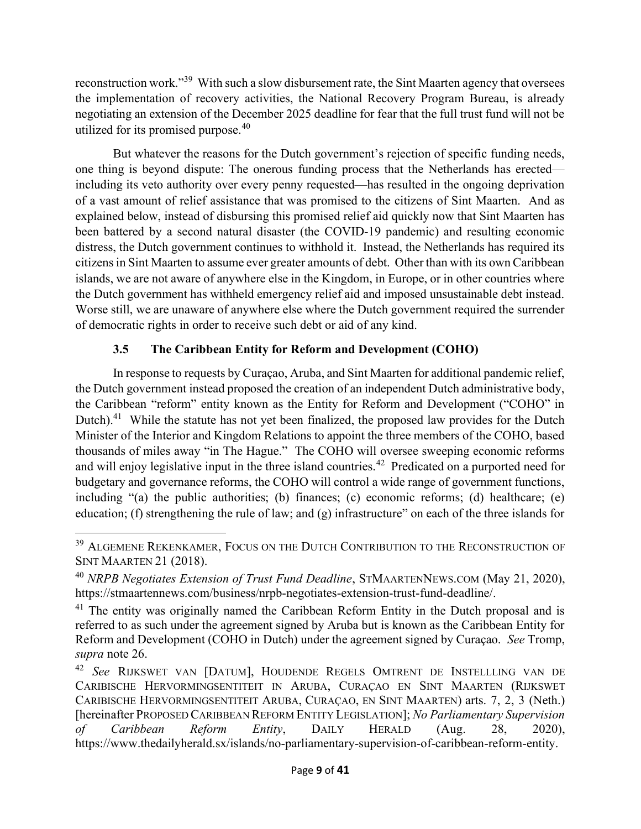reconstruction work."<sup>39</sup> With such a slow disbursement rate, the Sint Maarten agency that oversees the implementation of recovery activities, the National Recovery Program Bureau, is already negotiating an extension of the December 2025 deadline for fear that the full trust fund will not be utilized for its promised purpose.<sup>40</sup>

But whatever the reasons for the Dutch government's rejection of specific funding needs, one thing is beyond dispute: The onerous funding process that the Netherlands has erected including its veto authority over every penny requested—has resulted in the ongoing deprivation of a vast amount of relief assistance that was promised to the citizens of Sint Maarten. And as explained below, instead of disbursing this promised relief aid quickly now that Sint Maarten has been battered by a second natural disaster (the COVID-19 pandemic) and resulting economic distress, the Dutch government continues to withhold it. Instead, the Netherlands has required its citizens in Sint Maarten to assume ever greater amounts of debt. Other than with its own Caribbean islands, we are not aware of anywhere else in the Kingdom, in Europe, or in other countries where the Dutch government has withheld emergency relief aid and imposed unsustainable debt instead. Worse still, we are unaware of anywhere else where the Dutch government required the surrender of democratic rights in order to receive such debt or aid of any kind.

# 3.5 The Caribbean Entity for Reform and Development (COHO)

In response to requests by Curaçao, Aruba, and Sint Maarten for additional pandemic relief, the Dutch government instead proposed the creation of an independent Dutch administrative body, the Caribbean "reform" entity known as the Entity for Reform and Development ("COHO" in Dutch).<sup>41</sup> While the statute has not yet been finalized, the proposed law provides for the Dutch Minister of the Interior and Kingdom Relations to appoint the three members of the COHO, based thousands of miles away "in The Hague." The COHO will oversee sweeping economic reforms and will enjoy legislative input in the three island countries.<sup>42</sup> Predicated on a purported need for budgetary and governance reforms, the COHO will control a wide range of government functions, including "(a) the public authorities; (b) finances; (c) economic reforms; (d) healthcare; (e) education; (f) strengthening the rule of law; and (g) infrastructure" on each of the three islands for

<sup>&</sup>lt;sup>39</sup> ALGEMENE REKENKAMER, FOCUS ON THE DUTCH CONTRIBUTION TO THE RECONSTRUCTION OF SINT MAARTEN 21 (2018).

 $^{40}$  NRPB Negotiates Extension of Trust Fund Deadline, STMAARTENNEWS.COM (May 21, 2020), https://stmaartennews.com/business/nrpb-negotiates-extension-trust-fund-deadline/.

<sup>&</sup>lt;sup>41</sup> The entity was originally named the Caribbean Reform Entity in the Dutch proposal and is referred to as such under the agreement signed by Aruba but is known as the Caribbean Entity for Reform and Development (COHO in Dutch) under the agreement signed by Curaçao. See Tromp, supra note 26.

<sup>42</sup> See RIJKSWET VAN [DATUM], HOUDENDE REGELS OMTRENT DE INSTELLLING VAN DE CARIBISCHE HERVORMINGSENTITEIT IN ARUBA, CURAÇAO EN SINT MAARTEN (RIJKSWET CARIBISCHE HERVORMINGSENTITEIT ARUBA, CURAÇAO, EN SINT MAARTEN) arts. 7, 2, 3 (Neth.) [hereinafter PROPOSED CARIBBEAN REFORM ENTITY LEGISLATION]; No Parliamentary Supervision of Caribbean Reform Entity, DAILY HERALD (Aug. 28, 2020), https://www.thedailyherald.sx/islands/no-parliamentary-supervision-of-caribbean-reform-entity.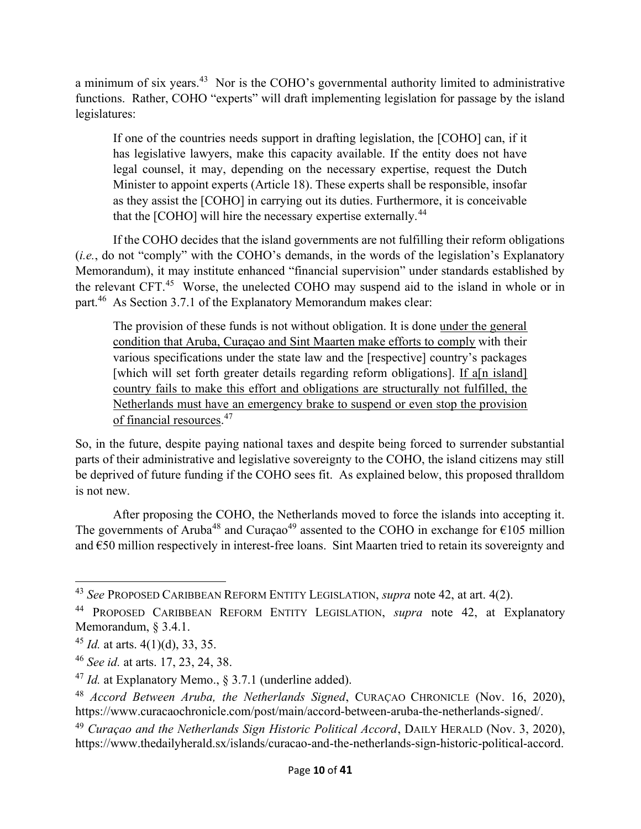a minimum of six years.<sup>43</sup> Nor is the COHO's governmental authority limited to administrative functions. Rather, COHO "experts" will draft implementing legislation for passage by the island legislatures:

If one of the countries needs support in drafting legislation, the [COHO] can, if it has legislative lawyers, make this capacity available. If the entity does not have legal counsel, it may, depending on the necessary expertise, request the Dutch Minister to appoint experts (Article 18). These experts shall be responsible, insofar as they assist the [COHO] in carrying out its duties. Furthermore, it is conceivable that the [COHO] will hire the necessary expertise externally.<sup>44</sup>

 If the COHO decides that the island governments are not fulfilling their reform obligations (i.e., do not "comply" with the COHO's demands, in the words of the legislation's Explanatory Memorandum), it may institute enhanced "financial supervision" under standards established by the relevant CFT.<sup>45</sup> Worse, the unelected COHO may suspend aid to the island in whole or in part.<sup>46</sup> As Section 3.7.1 of the Explanatory Memorandum makes clear:

The provision of these funds is not without obligation. It is done under the general condition that Aruba, Curaçao and Sint Maarten make efforts to comply with their various specifications under the state law and the [respective] country's packages [which will set forth greater details regarding reform obligations]. If a[n island] country fails to make this effort and obligations are structurally not fulfilled, the Netherlands must have an emergency brake to suspend or even stop the provision of financial resources.<sup>47</sup>

So, in the future, despite paying national taxes and despite being forced to surrender substantial parts of their administrative and legislative sovereignty to the COHO, the island citizens may still be deprived of future funding if the COHO sees fit. As explained below, this proposed thralldom is not new.

After proposing the COHO, the Netherlands moved to force the islands into accepting it. The governments of Aruba<sup>48</sup> and Curaçao<sup>49</sup> assented to the COHO in exchange for  $\epsilon$ 105 million and €50 million respectively in interest-free loans. Sint Maarten tried to retain its sovereignty and

<sup>&</sup>lt;sup>43</sup> See PROPOSED CARIBBEAN REFORM ENTITY LEGISLATION, *supra* note 42, at art. 4(2).

<sup>&</sup>lt;sup>44</sup> PROPOSED CARIBBEAN REFORM ENTITY LEGISLATION, *supra* note 42, at Explanatory Memorandum, § 3.4.1.

 $45$  *Id.* at arts.  $4(1)(d)$ , 33, 35.

<sup>46</sup> See id. at arts. 17, 23, 24, 38.

<sup>&</sup>lt;sup>47</sup> Id. at Explanatory Memo., § 3.7.1 (underline added).

<sup>48</sup> Accord Between Aruba, the Netherlands Signed, CURAÇAO CHRONICLE (Nov. 16, 2020), https://www.curacaochronicle.com/post/main/accord-between-aruba-the-netherlands-signed/.

 $^{49}$  Curaçao and the Netherlands Sign Historic Political Accord, DAILY HERALD (Nov. 3, 2020), https://www.thedailyherald.sx/islands/curacao-and-the-netherlands-sign-historic-political-accord.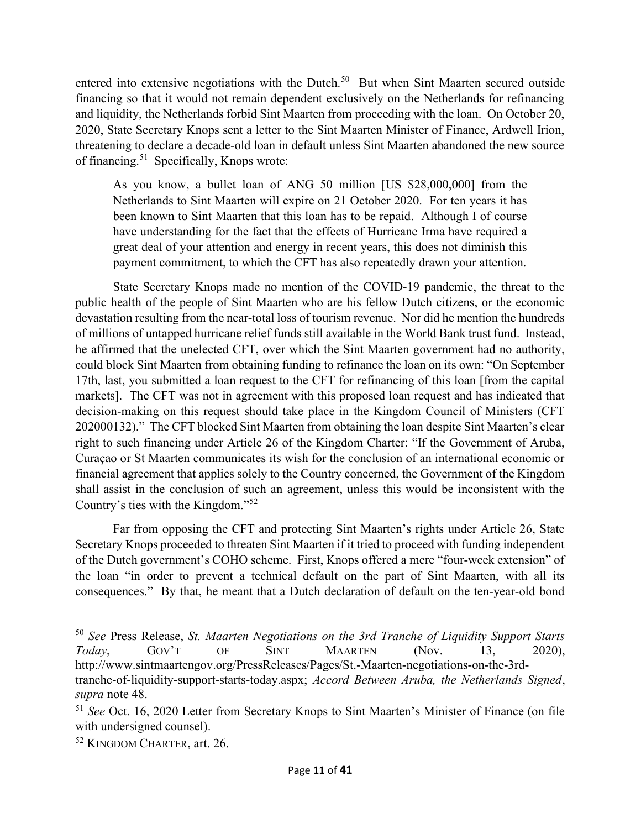entered into extensive negotiations with the Dutch.<sup>50</sup> But when Sint Maarten secured outside financing so that it would not remain dependent exclusively on the Netherlands for refinancing and liquidity, the Netherlands forbid Sint Maarten from proceeding with the loan. On October 20, 2020, State Secretary Knops sent a letter to the Sint Maarten Minister of Finance, Ardwell Irion, threatening to declare a decade-old loan in default unless Sint Maarten abandoned the new source of financing.<sup>51</sup> Specifically, Knops wrote:

As you know, a bullet loan of ANG 50 million [US \$28,000,000] from the Netherlands to Sint Maarten will expire on 21 October 2020. For ten years it has been known to Sint Maarten that this loan has to be repaid. Although I of course have understanding for the fact that the effects of Hurricane Irma have required a great deal of your attention and energy in recent years, this does not diminish this payment commitment, to which the CFT has also repeatedly drawn your attention.

 State Secretary Knops made no mention of the COVID-19 pandemic, the threat to the public health of the people of Sint Maarten who are his fellow Dutch citizens, or the economic devastation resulting from the near-total loss of tourism revenue. Nor did he mention the hundreds of millions of untapped hurricane relief funds still available in the World Bank trust fund. Instead, he affirmed that the unelected CFT, over which the Sint Maarten government had no authority, could block Sint Maarten from obtaining funding to refinance the loan on its own: "On September 17th, last, you submitted a loan request to the CFT for refinancing of this loan [from the capital markets]. The CFT was not in agreement with this proposed loan request and has indicated that decision-making on this request should take place in the Kingdom Council of Ministers (CFT 202000132)." The CFT blocked Sint Maarten from obtaining the loan despite Sint Maarten's clear right to such financing under Article 26 of the Kingdom Charter: "If the Government of Aruba, Curaçao or St Maarten communicates its wish for the conclusion of an international economic or financial agreement that applies solely to the Country concerned, the Government of the Kingdom shall assist in the conclusion of such an agreement, unless this would be inconsistent with the Country's ties with the Kingdom."<sup>52</sup>

 Far from opposing the CFT and protecting Sint Maarten's rights under Article 26, State Secretary Knops proceeded to threaten Sint Maarten if it tried to proceed with funding independent of the Dutch government's COHO scheme. First, Knops offered a mere "four-week extension" of the loan "in order to prevent a technical default on the part of Sint Maarten, with all its consequences." By that, he meant that a Dutch declaration of default on the ten-year-old bond

 $50$  See Press Release, St. Maarten Negotiations on the 3rd Tranche of Liquidity Support Starts Today, GOV'T OF SINT MAARTEN (Nov. 13, 2020), http://www.sintmaartengov.org/PressReleases/Pages/St.-Maarten-negotiations-on-the-3rd-

tranche-of-liquidity-support-starts-today.aspx; Accord Between Aruba, the Netherlands Signed, supra note 48.

<sup>&</sup>lt;sup>51</sup> See Oct. 16, 2020 Letter from Secretary Knops to Sint Maarten's Minister of Finance (on file with undersigned counsel).

<sup>52</sup> KINGDOM CHARTER, art. 26.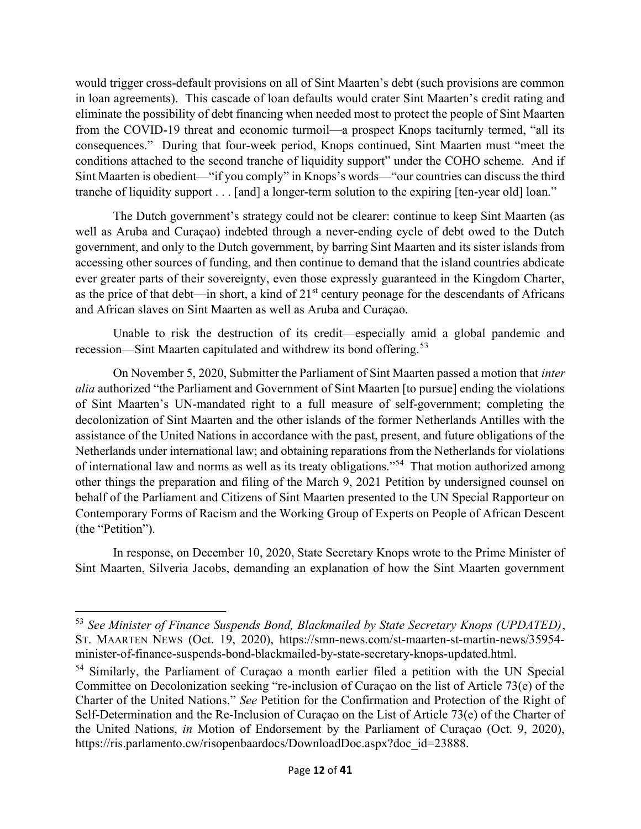would trigger cross-default provisions on all of Sint Maarten's debt (such provisions are common in loan agreements). This cascade of loan defaults would crater Sint Maarten's credit rating and eliminate the possibility of debt financing when needed most to protect the people of Sint Maarten from the COVID-19 threat and economic turmoil—a prospect Knops taciturnly termed, "all its consequences." During that four-week period, Knops continued, Sint Maarten must "meet the conditions attached to the second tranche of liquidity support" under the COHO scheme. And if Sint Maarten is obedient—"if you comply" in Knops's words—"our countries can discuss the third tranche of liquidity support . . . [and] a longer-term solution to the expiring [ten-year old] loan."

 The Dutch government's strategy could not be clearer: continue to keep Sint Maarten (as well as Aruba and Curaçao) indebted through a never-ending cycle of debt owed to the Dutch government, and only to the Dutch government, by barring Sint Maarten and its sister islands from accessing other sources of funding, and then continue to demand that the island countries abdicate ever greater parts of their sovereignty, even those expressly guaranteed in the Kingdom Charter, as the price of that debt—in short, a kind of  $21<sup>st</sup>$  century peonage for the descendants of Africans and African slaves on Sint Maarten as well as Aruba and Curaçao.

 Unable to risk the destruction of its credit—especially amid a global pandemic and recession—Sint Maarten capitulated and withdrew its bond offering.<sup>53</sup>

On November 5, 2020, Submitter the Parliament of Sint Maarten passed a motion that inter alia authorized "the Parliament and Government of Sint Maarten [to pursue] ending the violations of Sint Maarten's UN-mandated right to a full measure of self-government; completing the decolonization of Sint Maarten and the other islands of the former Netherlands Antilles with the assistance of the United Nations in accordance with the past, present, and future obligations of the Netherlands under international law; and obtaining reparations from the Netherlands for violations of international law and norms as well as its treaty obligations."<sup>54</sup> That motion authorized among other things the preparation and filing of the March 9, 2021 Petition by undersigned counsel on behalf of the Parliament and Citizens of Sint Maarten presented to the UN Special Rapporteur on Contemporary Forms of Racism and the Working Group of Experts on People of African Descent (the "Petition").

 In response, on December 10, 2020, State Secretary Knops wrote to the Prime Minister of Sint Maarten, Silveria Jacobs, demanding an explanation of how the Sint Maarten government

<sup>53</sup> See Minister of Finance Suspends Bond, Blackmailed by State Secretary Knops (UPDATED), ST. MAARTEN NEWS (Oct. 19, 2020), https://smn-news.com/st-maarten-st-martin-news/35954 minister-of-finance-suspends-bond-blackmailed-by-state-secretary-knops-updated.html.

<sup>54</sup> Similarly, the Parliament of Curaçao a month earlier filed a petition with the UN Special Committee on Decolonization seeking "re-inclusion of Curaçao on the list of Article 73(e) of the Charter of the United Nations." See Petition for the Confirmation and Protection of the Right of Self-Determination and the Re-Inclusion of Curaçao on the List of Article 73(e) of the Charter of the United Nations, in Motion of Endorsement by the Parliament of Curaçao (Oct. 9, 2020), https://ris.parlamento.cw/risopenbaardocs/DownloadDoc.aspx?doc\_id=23888.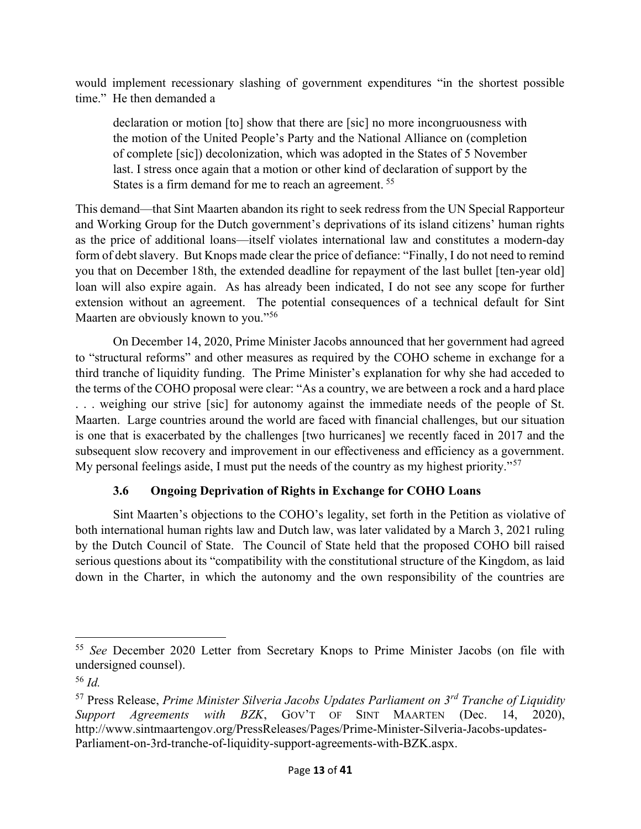would implement recessionary slashing of government expenditures "in the shortest possible time." He then demanded a

declaration or motion [to] show that there are [sic] no more incongruousness with the motion of the United People's Party and the National Alliance on (completion of complete [sic]) decolonization, which was adopted in the States of 5 November last. I stress once again that a motion or other kind of declaration of support by the States is a firm demand for me to reach an agreement.<sup>55</sup>

This demand—that Sint Maarten abandon its right to seek redress from the UN Special Rapporteur and Working Group for the Dutch government's deprivations of its island citizens' human rights as the price of additional loans—itself violates international law and constitutes a modern-day form of debt slavery. But Knops made clear the price of defiance: "Finally, I do not need to remind you that on December 18th, the extended deadline for repayment of the last bullet [ten-year old] loan will also expire again. As has already been indicated, I do not see any scope for further extension without an agreement. The potential consequences of a technical default for Sint Maarten are obviously known to you."<sup>56</sup>

 On December 14, 2020, Prime Minister Jacobs announced that her government had agreed to "structural reforms" and other measures as required by the COHO scheme in exchange for a third tranche of liquidity funding. The Prime Minister's explanation for why she had acceded to the terms of the COHO proposal were clear: "As a country, we are between a rock and a hard place . . . weighing our strive [sic] for autonomy against the immediate needs of the people of St. Maarten. Large countries around the world are faced with financial challenges, but our situation is one that is exacerbated by the challenges [two hurricanes] we recently faced in 2017 and the subsequent slow recovery and improvement in our effectiveness and efficiency as a government. My personal feelings aside, I must put the needs of the country as my highest priority."<sup>57</sup>

# 3.6 Ongoing Deprivation of Rights in Exchange for COHO Loans

Sint Maarten's objections to the COHO's legality, set forth in the Petition as violative of both international human rights law and Dutch law, was later validated by a March 3, 2021 ruling by the Dutch Council of State. The Council of State held that the proposed COHO bill raised serious questions about its "compatibility with the constitutional structure of the Kingdom, as laid down in the Charter, in which the autonomy and the own responsibility of the countries are

<sup>&</sup>lt;sup>55</sup> See December 2020 Letter from Secretary Knops to Prime Minister Jacobs (on file with undersigned counsel).

<sup>56</sup> Id.

<sup>&</sup>lt;sup>57</sup> Press Release, *Prime Minister Silveria Jacobs Updates Parliament on 3<sup>rd</sup> Tranche of Liquidity* Support Agreements with BZK, GOV'T OF SINT MAARTEN (Dec. 14, 2020), http://www.sintmaartengov.org/PressReleases/Pages/Prime-Minister-Silveria-Jacobs-updates-Parliament-on-3rd-tranche-of-liquidity-support-agreements-with-BZK.aspx.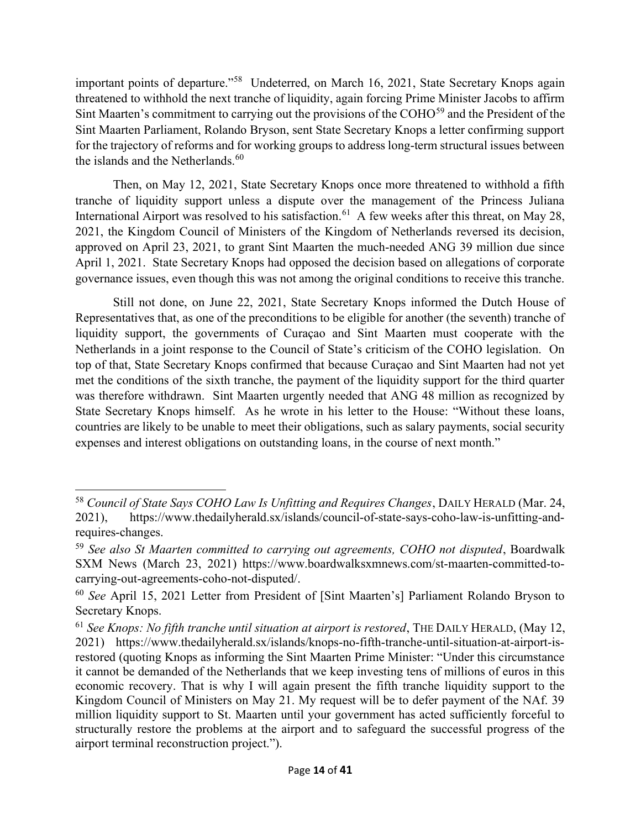important points of departure."<sup>58</sup> Undeterred, on March 16, 2021, State Secretary Knops again threatened to withhold the next tranche of liquidity, again forcing Prime Minister Jacobs to affirm Sint Maarten's commitment to carrying out the provisions of the COHO<sup>59</sup> and the President of the Sint Maarten Parliament, Rolando Bryson, sent State Secretary Knops a letter confirming support for the trajectory of reforms and for working groups to address long-term structural issues between the islands and the Netherlands.<sup>60</sup>

Then, on May 12, 2021, State Secretary Knops once more threatened to withhold a fifth tranche of liquidity support unless a dispute over the management of the Princess Juliana International Airport was resolved to his satisfaction.<sup>61</sup> A few weeks after this threat, on May 28, 2021, the Kingdom Council of Ministers of the Kingdom of Netherlands reversed its decision, approved on April 23, 2021, to grant Sint Maarten the much-needed ANG 39 million due since April 1, 2021. State Secretary Knops had opposed the decision based on allegations of corporate governance issues, even though this was not among the original conditions to receive this tranche.

Still not done, on June 22, 2021, State Secretary Knops informed the Dutch House of Representatives that, as one of the preconditions to be eligible for another (the seventh) tranche of liquidity support, the governments of Curaçao and Sint Maarten must cooperate with the Netherlands in a joint response to the Council of State's criticism of the COHO legislation. On top of that, State Secretary Knops confirmed that because Curaçao and Sint Maarten had not yet met the conditions of the sixth tranche, the payment of the liquidity support for the third quarter was therefore withdrawn. Sint Maarten urgently needed that ANG 48 million as recognized by State Secretary Knops himself. As he wrote in his letter to the House: "Without these loans, countries are likely to be unable to meet their obligations, such as salary payments, social security expenses and interest obligations on outstanding loans, in the course of next month."

<sup>&</sup>lt;sup>58</sup> Council of State Says COHO Law Is Unfitting and Requires Changes, DAILY HERALD (Mar. 24, 2021), https://www.thedailyherald.sx/islands/council-of-state-says-coho-law-is-unfitting-andrequires-changes.

 $59$  See also St Maarten committed to carrying out agreements, COHO not disputed, Boardwalk SXM News (March 23, 2021) https://www.boardwalksxmnews.com/st-maarten-committed-tocarrying-out-agreements-coho-not-disputed/.

<sup>&</sup>lt;sup>60</sup> See April 15, 2021 Letter from President of [Sint Maarten's] Parliament Rolando Bryson to Secretary Knops.

 $61$  See Knops: No fifth tranche until situation at airport is restored, THE DAILY HERALD, (May 12, 2021) https://www.thedailyherald.sx/islands/knops-no-fifth-tranche-until-situation-at-airport-isrestored (quoting Knops as informing the Sint Maarten Prime Minister: "Under this circumstance it cannot be demanded of the Netherlands that we keep investing tens of millions of euros in this economic recovery. That is why I will again present the fifth tranche liquidity support to the Kingdom Council of Ministers on May 21. My request will be to defer payment of the NAf. 39 million liquidity support to St. Maarten until your government has acted sufficiently forceful to structurally restore the problems at the airport and to safeguard the successful progress of the airport terminal reconstruction project.").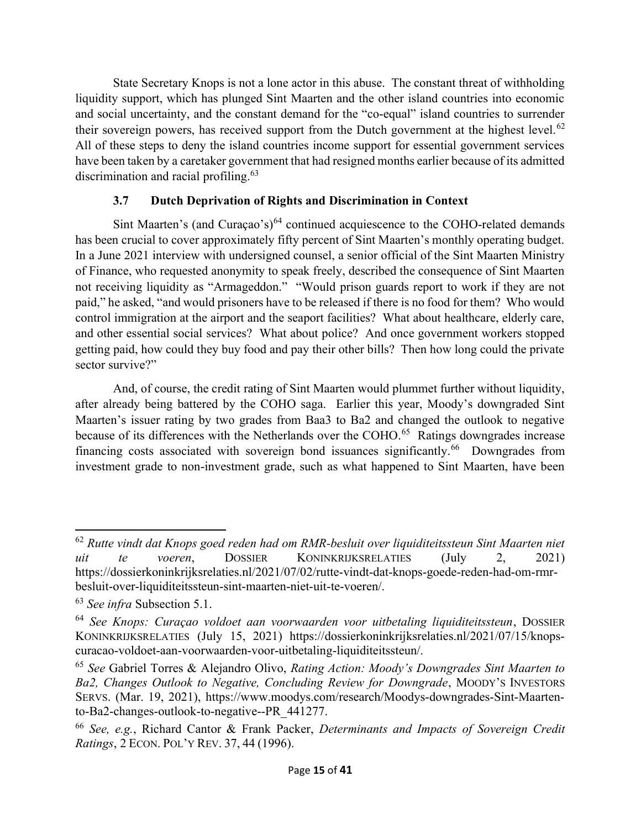State Secretary Knops is not a lone actor in this abuse. The constant threat of withholding liquidity support, which has plunged Sint Maarten and the other island countries into economic and social uncertainty, and the constant demand for the "co-equal" island countries to surrender their sovereign powers, has received support from the Dutch government at the highest level.<sup>62</sup> All of these steps to deny the island countries income support for essential government services have been taken by a caretaker government that had resigned months earlier because of its admitted discrimination and racial profiling.<sup>63</sup>

# 3.7 Dutch Deprivation of Rights and Discrimination in Context

Sint Maarten's (and Curaçao's) $<sup>64</sup>$  continued acquiescence to the COHO-related demands</sup> has been crucial to cover approximately fifty percent of Sint Maarten's monthly operating budget. In a June 2021 interview with undersigned counsel, a senior official of the Sint Maarten Ministry of Finance, who requested anonymity to speak freely, described the consequence of Sint Maarten not receiving liquidity as "Armageddon." "Would prison guards report to work if they are not paid," he asked, "and would prisoners have to be released if there is no food for them? Who would control immigration at the airport and the seaport facilities? What about healthcare, elderly care, and other essential social services? What about police? And once government workers stopped getting paid, how could they buy food and pay their other bills? Then how long could the private sector survive?"

And, of course, the credit rating of Sint Maarten would plummet further without liquidity, after already being battered by the COHO saga. Earlier this year, Moody's downgraded Sint Maarten's issuer rating by two grades from Baa3 to Ba2 and changed the outlook to negative because of its differences with the Netherlands over the COHO.<sup>65</sup> Ratings downgrades increase financing costs associated with sovereign bond issuances significantly.<sup>66</sup> Downgrades from investment grade to non-investment grade, such as what happened to Sint Maarten, have been

 $62$  Rutte vindt dat Knops goed reden had om RMR-besluit over liquiditeitssteun Sint Maarten niet uit te voeren, DOSSIER KONINKRIJKSRELATIES (July 2, 2021) https://dossierkoninkrijksrelaties.nl/2021/07/02/rutte-vindt-dat-knops-goede-reden-had-om-rmrbesluit-over-liquiditeitssteun-sint-maarten-niet-uit-te-voeren/.

<sup>63</sup> See infra Subsection 5.1.

<sup>64</sup> See Knops: Curaçao voldoet aan voorwaarden voor uitbetaling liquiditeitssteun, DOSSIER KONINKRIJKSRELATIES (July 15, 2021) https://dossierkoninkrijksrelaties.nl/2021/07/15/knopscuracao-voldoet-aan-voorwaarden-voor-uitbetaling-liquiditeitssteun/.

 $65$  See Gabriel Torres & Alejandro Olivo, Rating Action: Moody's Downgrades Sint Maarten to Ba2, Changes Outlook to Negative, Concluding Review for Downgrade, MOODY'S INVESTORS SERVS. (Mar. 19, 2021), https://www.moodys.com/research/Moodys-downgrades-Sint-Maartento-Ba2-changes-outlook-to-negative--PR\_441277.

<sup>66</sup> See, e.g., Richard Cantor & Frank Packer, Determinants and Impacts of Sovereign Credit Ratings, 2 ECON. POL'Y REV. 37, 44 (1996).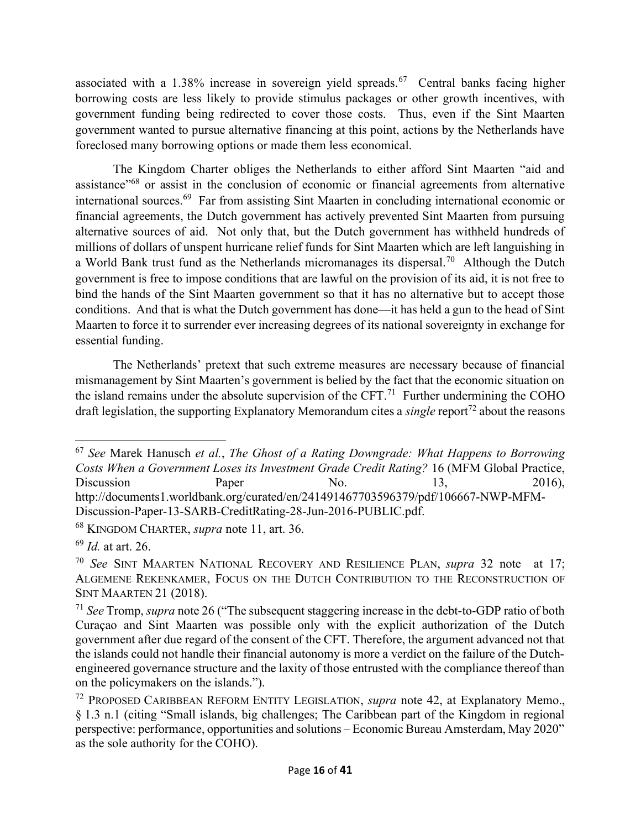associated with a 1.38% increase in sovereign yield spreads.<sup>67</sup> Central banks facing higher borrowing costs are less likely to provide stimulus packages or other growth incentives, with government funding being redirected to cover those costs. Thus, even if the Sint Maarten government wanted to pursue alternative financing at this point, actions by the Netherlands have foreclosed many borrowing options or made them less economical.

The Kingdom Charter obliges the Netherlands to either afford Sint Maarten "aid and assistance<sup>"68</sup> or assist in the conclusion of economic or financial agreements from alternative international sources.<sup>69</sup> Far from assisting Sint Maarten in concluding international economic or financial agreements, the Dutch government has actively prevented Sint Maarten from pursuing alternative sources of aid. Not only that, but the Dutch government has withheld hundreds of millions of dollars of unspent hurricane relief funds for Sint Maarten which are left languishing in a World Bank trust fund as the Netherlands micromanages its dispersal.<sup>70</sup> Although the Dutch government is free to impose conditions that are lawful on the provision of its aid, it is not free to bind the hands of the Sint Maarten government so that it has no alternative but to accept those conditions. And that is what the Dutch government has done—it has held a gun to the head of Sint Maarten to force it to surrender ever increasing degrees of its national sovereignty in exchange for essential funding.

The Netherlands' pretext that such extreme measures are necessary because of financial mismanagement by Sint Maarten's government is belied by the fact that the economic situation on the island remains under the absolute supervision of the CFT.<sup>71</sup> Further undermining the COHO draft legislation, the supporting Explanatory Memorandum cites a *single* report<sup>72</sup> about the reasons

 $67$  See Marek Hanusch et al., The Ghost of a Rating Downgrade: What Happens to Borrowing Costs When a Government Loses its Investment Grade Credit Rating? 16 (MFM Global Practice, Discussion Paper No. 13, 2016), http://documents1.worldbank.org/curated/en/241491467703596379/pdf/106667-NWP-MFM-Discussion-Paper-13-SARB-CreditRating-28-Jun-2016-PUBLIC.pdf.

<sup>68</sup> KINGDOM CHARTER, supra note 11, art. 36.

 $69$  *Id.* at art. 26.

<sup>&</sup>lt;sup>70</sup> See SINT MAARTEN NATIONAL RECOVERY AND RESILIENCE PLAN, *supra* 32 note at 17; ALGEMENE REKENKAMER, FOCUS ON THE DUTCH CONTRIBUTION TO THE RECONSTRUCTION OF SINT MAARTEN 21 (2018).

 $71$  See Tromp, supra note 26 ("The subsequent staggering increase in the debt-to-GDP ratio of both Curaçao and Sint Maarten was possible only with the explicit authorization of the Dutch government after due regard of the consent of the CFT. Therefore, the argument advanced not that the islands could not handle their financial autonomy is more a verdict on the failure of the Dutchengineered governance structure and the laxity of those entrusted with the compliance thereof than on the policymakers on the islands.").

<sup>&</sup>lt;sup>72</sup> PROPOSED CARIBBEAN REFORM ENTITY LEGISLATION, *supra* note 42, at Explanatory Memo., § 1.3 n.1 (citing "Small islands, big challenges; The Caribbean part of the Kingdom in regional perspective: performance, opportunities and solutions – Economic Bureau Amsterdam, May 2020" as the sole authority for the COHO).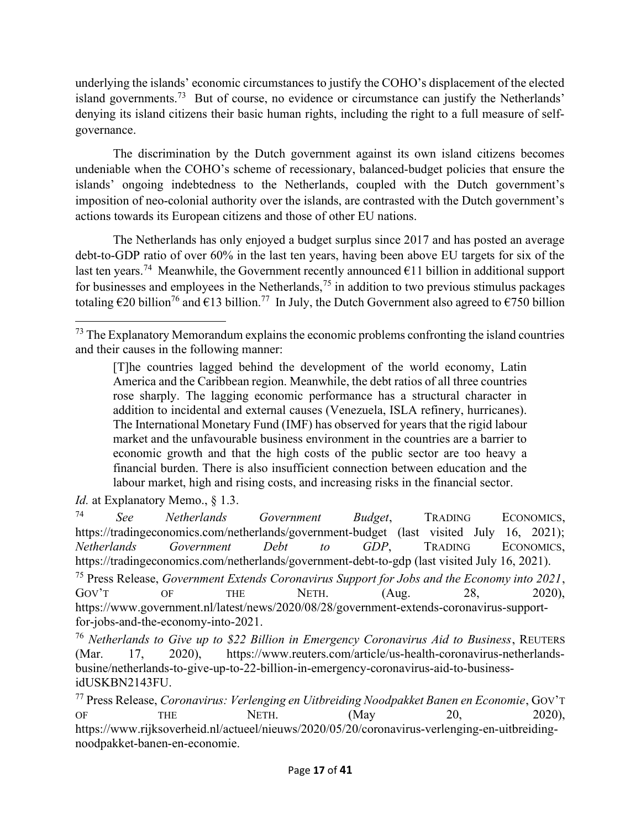underlying the islands' economic circumstances to justify the COHO's displacement of the elected island governments.<sup>73</sup> But of course, no evidence or circumstance can justify the Netherlands' denying its island citizens their basic human rights, including the right to a full measure of selfgovernance.

The discrimination by the Dutch government against its own island citizens becomes undeniable when the COHO's scheme of recessionary, balanced-budget policies that ensure the islands' ongoing indebtedness to the Netherlands, coupled with the Dutch government's imposition of neo-colonial authority over the islands, are contrasted with the Dutch government's actions towards its European citizens and those of other EU nations.

The Netherlands has only enjoyed a budget surplus since 2017 and has posted an average debt-to-GDP ratio of over 60% in the last ten years, having been above EU targets for six of the last ten years.<sup>74</sup> Meanwhile, the Government recently announced  $\epsilon$ 11 billion in additional support for businesses and employees in the Netherlands,<sup>75</sup> in addition to two previous stimulus packages totaling  $\epsilon$ 20 billion<sup>76</sup> and  $\epsilon$ 13 billion.<sup>77</sup> In July, the Dutch Government also agreed to  $\epsilon$ 750 billion

 $73$  The Explanatory Memorandum explains the economic problems confronting the island countries and their causes in the following manner:

<sup>[</sup>T]he countries lagged behind the development of the world economy, Latin America and the Caribbean region. Meanwhile, the debt ratios of all three countries rose sharply. The lagging economic performance has a structural character in addition to incidental and external causes (Venezuela, ISLA refinery, hurricanes). The International Monetary Fund (IMF) has observed for years that the rigid labour market and the unfavourable business environment in the countries are a barrier to economic growth and that the high costs of the public sector are too heavy a financial burden. There is also insufficient connection between education and the labour market, high and rising costs, and increasing risks in the financial sector.

Id. at Explanatory Memo., § 1.3.

<sup>74</sup> See Netherlands Government Budget, TRADING ECONOMICS, https://tradingeconomics.com/netherlands/government-budget (last visited July 16, 2021); Netherlands Government Debt to GDP, TRADING ECONOMICS, https://tradingeconomics.com/netherlands/government-debt-to-gdp (last visited July 16, 2021).

<sup>&</sup>lt;sup>75</sup> Press Release, Government Extends Coronavirus Support for Jobs and the Economy into 2021, GOV'T OF THE NETH. (Aug. 28, 2020), https://www.government.nl/latest/news/2020/08/28/government-extends-coronavirus-supportfor-jobs-and-the-economy-into-2021.

 $76$  Netherlands to Give up to \$22 Billion in Emergency Coronavirus Aid to Business, REUTERS (Mar. 17, 2020), https://www.reuters.com/article/us-health-coronavirus-netherlandsbusine/netherlands-to-give-up-to-22-billion-in-emergency-coronavirus-aid-to-businessidUSKBN2143FU.

 $^{77}$  Press Release, Coronavirus: Verlenging en Uitbreiding Noodpakket Banen en Economie, GOV'T OF THE NETH. (May 20, 2020), https://www.rijksoverheid.nl/actueel/nieuws/2020/05/20/coronavirus-verlenging-en-uitbreidingnoodpakket-banen-en-economie.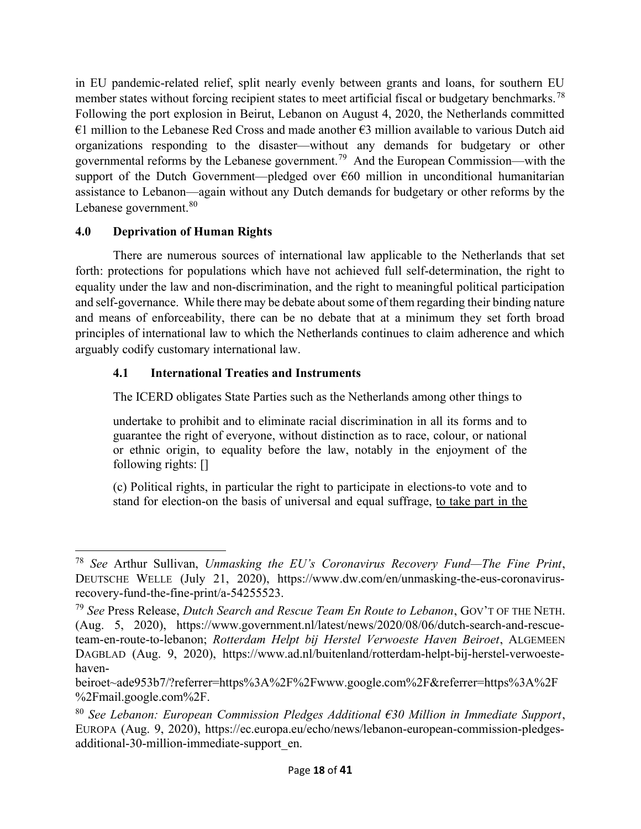in EU pandemic-related relief, split nearly evenly between grants and loans, for southern EU member states without forcing recipient states to meet artificial fiscal or budgetary benchmarks.<sup>78</sup> Following the port explosion in Beirut, Lebanon on August 4, 2020, the Netherlands committed €1 million to the Lebanese Red Cross and made another  $€3$  million available to various Dutch aid organizations responding to the disaster—without any demands for budgetary or other governmental reforms by the Lebanese government.<sup>79</sup> And the European Commission—with the support of the Dutch Government—pledged over  $\epsilon$ 60 million in unconditional humanitarian assistance to Lebanon—again without any Dutch demands for budgetary or other reforms by the Lebanese government.<sup>80</sup>

# 4.0 Deprivation of Human Rights

 There are numerous sources of international law applicable to the Netherlands that set forth: protections for populations which have not achieved full self-determination, the right to equality under the law and non-discrimination, and the right to meaningful political participation and self-governance. While there may be debate about some of them regarding their binding nature and means of enforceability, there can be no debate that at a minimum they set forth broad principles of international law to which the Netherlands continues to claim adherence and which arguably codify customary international law.

# 4.1 International Treaties and Instruments

The ICERD obligates State Parties such as the Netherlands among other things to

undertake to prohibit and to eliminate racial discrimination in all its forms and to guarantee the right of everyone, without distinction as to race, colour, or national or ethnic origin, to equality before the law, notably in the enjoyment of the following rights: []

(c) Political rights, in particular the right to participate in elections-to vote and to stand for election-on the basis of universal and equal suffrage, to take part in the

 $78$  See Arthur Sullivan, Unmasking the EU's Coronavirus Recovery Fund—The Fine Print, DEUTSCHE WELLE (July 21, 2020), https://www.dw.com/en/unmasking-the-eus-coronavirusrecovery-fund-the-fine-print/a-54255523.

 $^{79}$  See Press Release, Dutch Search and Rescue Team En Route to Lebanon, GOV'T OF THE NETH. (Aug. 5, 2020), https://www.government.nl/latest/news/2020/08/06/dutch-search-and-rescueteam-en-route-to-lebanon; Rotterdam Helpt bij Herstel Verwoeste Haven Beiroet, ALGEMEEN DAGBLAD (Aug. 9, 2020), https://www.ad.nl/buitenland/rotterdam-helpt-bij-herstel-verwoestehaven-

beiroet~ade953b7/?referrer=https%3A%2F%2Fwww.google.com%2F&referrer=https%3A%2F %2Fmail.google.com%2F.

<sup>&</sup>lt;sup>80</sup> See Lebanon: European Commission Pledges Additional  $\epsilon$ 30 Million in Immediate Support, EUROPA (Aug. 9, 2020), https://ec.europa.eu/echo/news/lebanon-european-commission-pledgesadditional-30-million-immediate-support\_en.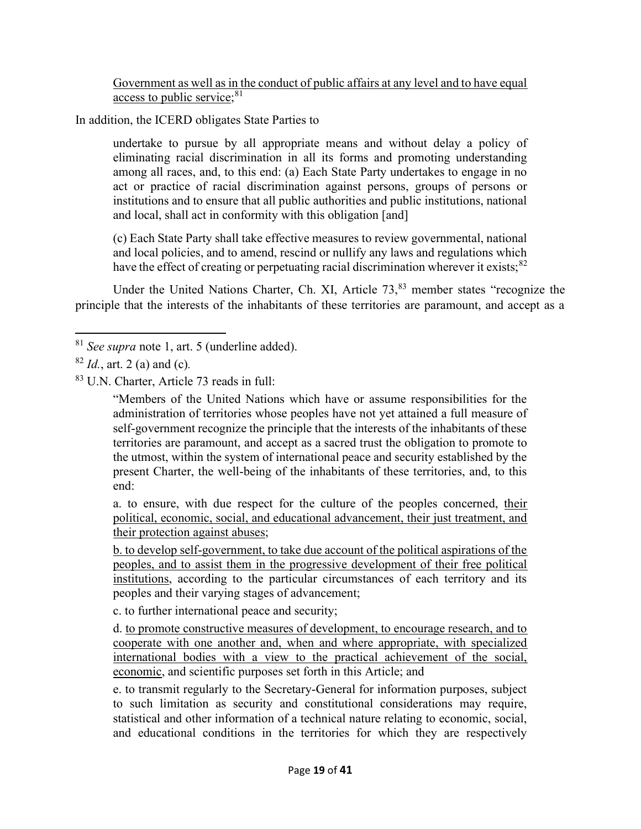Government as well as in the conduct of public affairs at any level and to have equal access to public service;  $81$ 

In addition, the ICERD obligates State Parties to

undertake to pursue by all appropriate means and without delay a policy of eliminating racial discrimination in all its forms and promoting understanding among all races, and, to this end: (a) Each State Party undertakes to engage in no act or practice of racial discrimination against persons, groups of persons or institutions and to ensure that all public authorities and public institutions, national and local, shall act in conformity with this obligation [and]

(c) Each State Party shall take effective measures to review governmental, national and local policies, and to amend, rescind or nullify any laws and regulations which have the effect of creating or perpetuating racial discrimination wherever it exists;  $82$ 

Under the United Nations Charter, Ch. XI, Article 73,<sup>83</sup> member states "recognize the principle that the interests of the inhabitants of these territories are paramount, and accept as a

 $81$  See supra note 1, art. 5 (underline added).

 $82$  *Id.*, art. 2 (a) and (c).

<sup>83</sup> U.N. Charter, Article 73 reads in full:

<sup>&</sup>quot;Members of the United Nations which have or assume responsibilities for the administration of territories whose peoples have not yet attained a full measure of self-government recognize the principle that the interests of the inhabitants of these territories are paramount, and accept as a sacred trust the obligation to promote to the utmost, within the system of international peace and security established by the present Charter, the well-being of the inhabitants of these territories, and, to this end:

a. to ensure, with due respect for the culture of the peoples concerned, their political, economic, social, and educational advancement, their just treatment, and their protection against abuses;

b. to develop self-government, to take due account of the political aspirations of the peoples, and to assist them in the progressive development of their free political institutions, according to the particular circumstances of each territory and its peoples and their varying stages of advancement;

c. to further international peace and security;

d. to promote constructive measures of development, to encourage research, and to cooperate with one another and, when and where appropriate, with specialized international bodies with a view to the practical achievement of the social, economic, and scientific purposes set forth in this Article; and

e. to transmit regularly to the Secretary-General for information purposes, subject to such limitation as security and constitutional considerations may require, statistical and other information of a technical nature relating to economic, social, and educational conditions in the territories for which they are respectively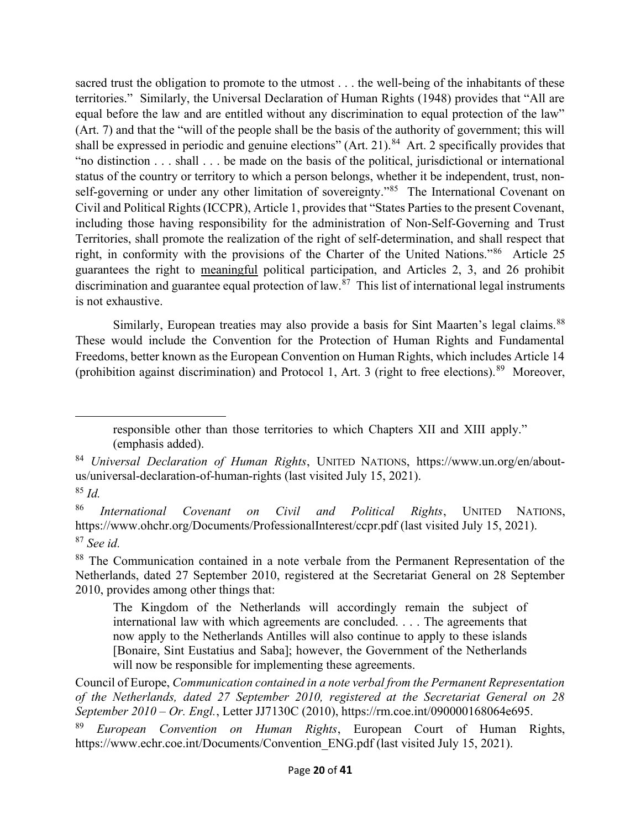sacred trust the obligation to promote to the utmost . . . the well-being of the inhabitants of these territories." Similarly, the Universal Declaration of Human Rights (1948) provides that "All are equal before the law and are entitled without any discrimination to equal protection of the law" (Art. 7) and that the "will of the people shall be the basis of the authority of government; this will shall be expressed in periodic and genuine elections" (Art. 21).<sup>84</sup> Art. 2 specifically provides that "no distinction . . . shall . . . be made on the basis of the political, jurisdictional or international status of the country or territory to which a person belongs, whether it be independent, trust, nonself-governing or under any other limitation of sovereignty."<sup>85</sup> The International Covenant on Civil and Political Rights (ICCPR), Article 1, provides that "States Parties to the present Covenant, including those having responsibility for the administration of Non-Self-Governing and Trust Territories, shall promote the realization of the right of self-determination, and shall respect that right, in conformity with the provisions of the Charter of the United Nations."<sup>86</sup> Article 25 guarantees the right to meaningful political participation, and Articles 2, 3, and 26 prohibit discrimination and guarantee equal protection of law.<sup>87</sup> This list of international legal instruments is not exhaustive.

Similarly, European treaties may also provide a basis for Sint Maarten's legal claims.<sup>88</sup> These would include the Convention for the Protection of Human Rights and Fundamental Freedoms, better known as the European Convention on Human Rights, which includes Article 14 (prohibition against discrimination) and Protocol 1, Art. 3 (right to free elections).<sup>89</sup> Moreover,

 $85$  Id.

responsible other than those territories to which Chapters XII and XIII apply." (emphasis added).

<sup>84</sup> Universal Declaration of Human Rights, UNITED NATIONS, https://www.un.org/en/aboutus/universal-declaration-of-human-rights (last visited July 15, 2021).

<sup>86</sup> International Covenant on Civil and Political Rights, UNITED NATIONS, https://www.ohchr.org/Documents/ProfessionalInterest/ccpr.pdf (last visited July 15, 2021).  $87$  See id.

<sup>&</sup>lt;sup>88</sup> The Communication contained in a note verbale from the Permanent Representation of the Netherlands, dated 27 September 2010, registered at the Secretariat General on 28 September 2010, provides among other things that:

The Kingdom of the Netherlands will accordingly remain the subject of international law with which agreements are concluded. . . . The agreements that now apply to the Netherlands Antilles will also continue to apply to these islands [Bonaire, Sint Eustatius and Saba]; however, the Government of the Netherlands will now be responsible for implementing these agreements.

Council of Europe, Communication contained in a note verbal from the Permanent Representation of the Netherlands, dated 27 September 2010, registered at the Secretariat General on 28 September 2010 – Or. Engl., Letter JJ7130C (2010), https://rm.coe.int/090000168064e695.

European Convention on Human Rights, European Court of Human Rights, https://www.echr.coe.int/Documents/Convention\_ENG.pdf (last visited July 15, 2021).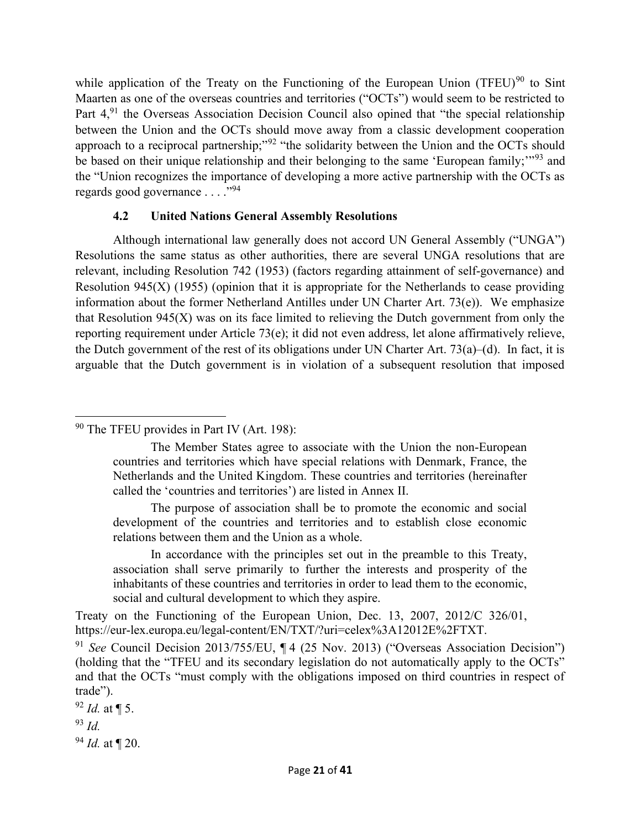while application of the Treaty on the Functioning of the European Union (TFEU)<sup>90</sup> to Sint Maarten as one of the overseas countries and territories ("OCTs") would seem to be restricted to Part 4,<sup>91</sup> the Overseas Association Decision Council also opined that "the special relationship between the Union and the OCTs should move away from a classic development cooperation approach to a reciprocal partnership;"<sup>92</sup> "the solidarity between the Union and the OCTs should be based on their unique relationship and their belonging to the same 'European family;"<sup>93</sup> and the "Union recognizes the importance of developing a more active partnership with the OCTs as regards good governance . . . ."<sup>94</sup>

#### 4.2 United Nations General Assembly Resolutions

 Although international law generally does not accord UN General Assembly ("UNGA") Resolutions the same status as other authorities, there are several UNGA resolutions that are relevant, including Resolution 742 (1953) (factors regarding attainment of self-governance) and Resolution 945(X) (1955) (opinion that it is appropriate for the Netherlands to cease providing information about the former Netherland Antilles under UN Charter Art. 73(e)). We emphasize that Resolution 945(X) was on its face limited to relieving the Dutch government from only the reporting requirement under Article 73(e); it did not even address, let alone affirmatively relieve, the Dutch government of the rest of its obligations under UN Charter Art. 73(a)–(d). In fact, it is arguable that the Dutch government is in violation of a subsequent resolution that imposed

<sup>90</sup> The TFEU provides in Part IV (Art. 198):

 The Member States agree to associate with the Union the non-European countries and territories which have special relations with Denmark, France, the Netherlands and the United Kingdom. These countries and territories (hereinafter called the 'countries and territories') are listed in Annex II.

 The purpose of association shall be to promote the economic and social development of the countries and territories and to establish close economic relations between them and the Union as a whole.

 In accordance with the principles set out in the preamble to this Treaty, association shall serve primarily to further the interests and prosperity of the inhabitants of these countries and territories in order to lead them to the economic, social and cultural development to which they aspire.

Treaty on the Functioning of the European Union, Dec. 13, 2007, 2012/C 326/01, https://eur-lex.europa.eu/legal-content/EN/TXT/?uri=celex%3A12012E%2FTXT.

 $92$  *Id.* at  $\P$  5.

<sup>93</sup> Id.

 $94$  *Id.* at  $\P$  20.

<sup>&</sup>lt;sup>91</sup> See Council Decision 2013/755/EU, ¶ 4 (25 Nov. 2013) ("Overseas Association Decision") (holding that the "TFEU and its secondary legislation do not automatically apply to the OCTs" and that the OCTs "must comply with the obligations imposed on third countries in respect of trade").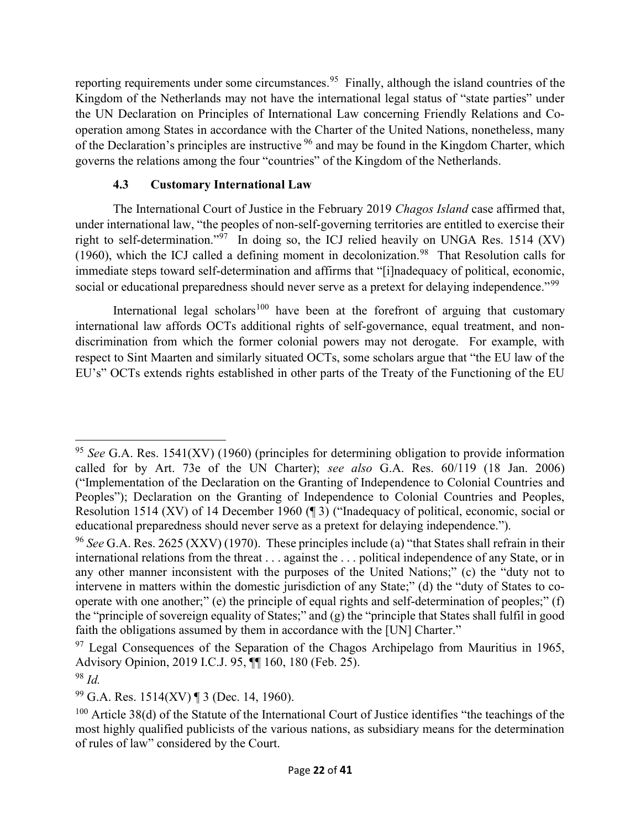reporting requirements under some circumstances.<sup>95</sup> Finally, although the island countries of the Kingdom of the Netherlands may not have the international legal status of "state parties" under the UN Declaration on Principles of International Law concerning Friendly Relations and Cooperation among States in accordance with the Charter of the United Nations, nonetheless, many of the Declaration's principles are instructive  $96$  and may be found in the Kingdom Charter, which governs the relations among the four "countries" of the Kingdom of the Netherlands.

# 4.3 Customary International Law

The International Court of Justice in the February 2019 Chagos Island case affirmed that, under international law, "the peoples of non-self-governing territories are entitled to exercise their right to self-determination."<sup>97</sup> In doing so, the ICJ relied heavily on UNGA Res. 1514 (XV) (1960), which the ICJ called a defining moment in decolonization.<sup>98</sup> That Resolution calls for immediate steps toward self-determination and affirms that "[i]nadequacy of political, economic, social or educational preparedness should never serve as a pretext for delaying independence."<sup>99</sup>

International legal scholars<sup>100</sup> have been at the forefront of arguing that customary international law affords OCTs additional rights of self-governance, equal treatment, and nondiscrimination from which the former colonial powers may not derogate. For example, with respect to Sint Maarten and similarly situated OCTs, some scholars argue that "the EU law of the EU's" OCTs extends rights established in other parts of the Treaty of the Functioning of the EU

<sup>&</sup>lt;sup>95</sup> See G.A. Res. 1541(XV) (1960) (principles for determining obligation to provide information called for by Art. 73e of the UN Charter); see also G.A. Res. 60/119 (18 Jan. 2006) ("Implementation of the Declaration on the Granting of Independence to Colonial Countries and Peoples"); Declaration on the Granting of Independence to Colonial Countries and Peoples, Resolution 1514 (XV) of 14 December 1960 (¶ 3) ("Inadequacy of political, economic, social or educational preparedness should never serve as a pretext for delaying independence.").

<sup>&</sup>lt;sup>96</sup> See G.A. Res. 2625 (XXV) (1970). These principles include (a) "that States shall refrain in their international relations from the threat . . . against the . . . political independence of any State, or in any other manner inconsistent with the purposes of the United Nations;" (c) the "duty not to intervene in matters within the domestic jurisdiction of any State;" (d) the "duty of States to cooperate with one another;" (e) the principle of equal rights and self-determination of peoples;" (f) the "principle of sovereign equality of States;" and (g) the "principle that States shall fulfil in good faith the obligations assumed by them in accordance with the [UN] Charter."

 $97$  Legal Consequences of the Separation of the Chagos Archipelago from Mauritius in 1965, Advisory Opinion, 2019 I.C.J. 95, ¶¶ 160, 180 (Feb. 25).

 $98$  Id.

 $99$  G.A. Res. 1514(XV) ¶ 3 (Dec. 14, 1960).

 $100$  Article 38(d) of the Statute of the International Court of Justice identifies "the teachings of the most highly qualified publicists of the various nations, as subsidiary means for the determination of rules of law" considered by the Court.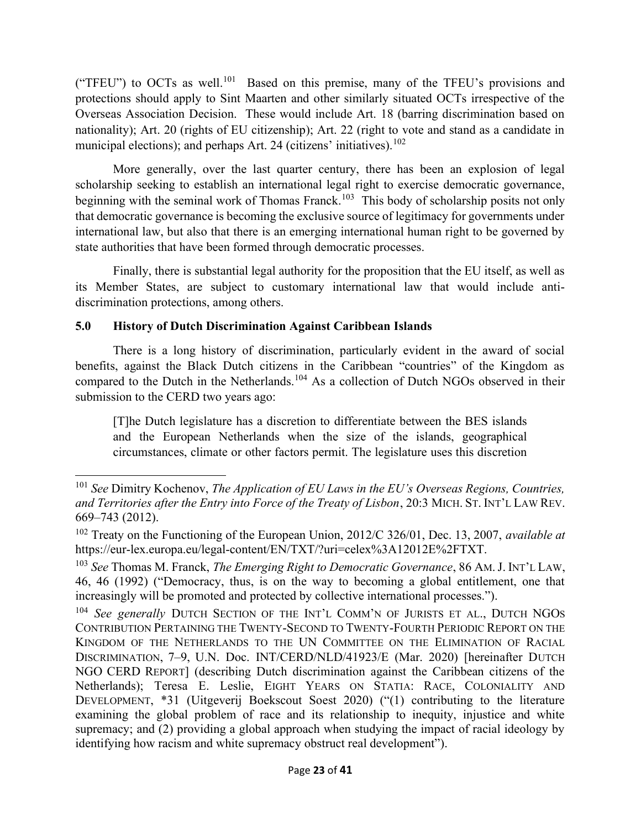("TFEU") to OCTs as well.<sup>101</sup> Based on this premise, many of the TFEU's provisions and protections should apply to Sint Maarten and other similarly situated OCTs irrespective of the Overseas Association Decision. These would include Art. 18 (barring discrimination based on nationality); Art. 20 (rights of EU citizenship); Art. 22 (right to vote and stand as a candidate in municipal elections); and perhaps Art. 24 (citizens' initiatives).  $102$ 

More generally, over the last quarter century, there has been an explosion of legal scholarship seeking to establish an international legal right to exercise democratic governance, beginning with the seminal work of Thomas Franck.<sup>103</sup> This body of scholarship posits not only that democratic governance is becoming the exclusive source of legitimacy for governments under international law, but also that there is an emerging international human right to be governed by state authorities that have been formed through democratic processes.

Finally, there is substantial legal authority for the proposition that the EU itself, as well as its Member States, are subject to customary international law that would include antidiscrimination protections, among others.

# 5.0 History of Dutch Discrimination Against Caribbean Islands

There is a long history of discrimination, particularly evident in the award of social benefits, against the Black Dutch citizens in the Caribbean "countries" of the Kingdom as compared to the Dutch in the Netherlands.<sup>104</sup> As a collection of Dutch NGOs observed in their submission to the CERD two years ago:

[T]he Dutch legislature has a discretion to differentiate between the BES islands and the European Netherlands when the size of the islands, geographical circumstances, climate or other factors permit. The legislature uses this discretion

<sup>&</sup>lt;sup>101</sup> See Dimitry Kochenov, The Application of EU Laws in the EU's Overseas Regions, Countries, and Territories after the Entry into Force of the Treaty of Lisbon, 20:3 MICH. ST. INT'L LAW REV. 669–743 (2012).

 $102$  Treaty on the Functioning of the European Union, 2012/C 326/01, Dec. 13, 2007, available at https://eur-lex.europa.eu/legal-content/EN/TXT/?uri=celex%3A12012E%2FTXT.

 $103$  See Thomas M. Franck, The Emerging Right to Democratic Governance, 86 AM. J. INT'L LAW, 46, 46 (1992) ("Democracy, thus, is on the way to becoming a global entitlement, one that increasingly will be promoted and protected by collective international processes.").

<sup>&</sup>lt;sup>104</sup> See generally DUTCH SECTION OF THE INT'L COMM'N OF JURISTS ET AL., DUTCH NGOS CONTRIBUTION PERTAINING THE TWENTY-SECOND TO TWENTY-FOURTH PERIODIC REPORT ON THE KINGDOM OF THE NETHERLANDS TO THE UN COMMITTEE ON THE ELIMINATION OF RACIAL DISCRIMINATION, 7–9, U.N. Doc. INT/CERD/NLD/41923/E (Mar. 2020) [hereinafter DUTCH NGO CERD REPORT] (describing Dutch discrimination against the Caribbean citizens of the Netherlands); Teresa E. Leslie, EIGHT YEARS ON STATIA: RACE, COLONIALITY AND DEVELOPMENT, \*31 (Uitgeverij Boekscout Soest 2020) ("(1) contributing to the literature examining the global problem of race and its relationship to inequity, injustice and white supremacy; and (2) providing a global approach when studying the impact of racial ideology by identifying how racism and white supremacy obstruct real development").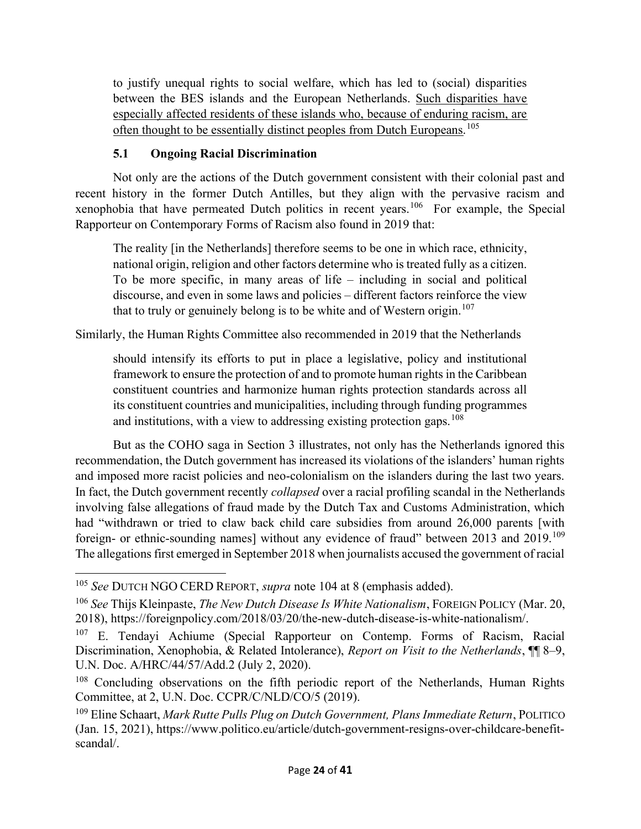to justify unequal rights to social welfare, which has led to (social) disparities between the BES islands and the European Netherlands. Such disparities have especially affected residents of these islands who, because of enduring racism, are often thought to be essentially distinct peoples from Dutch Europeans.<sup>105</sup>

# 5.1 Ongoing Racial Discrimination

Not only are the actions of the Dutch government consistent with their colonial past and recent history in the former Dutch Antilles, but they align with the pervasive racism and xenophobia that have permeated Dutch politics in recent years.<sup>106</sup> For example, the Special Rapporteur on Contemporary Forms of Racism also found in 2019 that:

The reality [in the Netherlands] therefore seems to be one in which race, ethnicity, national origin, religion and other factors determine who is treated fully as a citizen. To be more specific, in many areas of life – including in social and political discourse, and even in some laws and policies – different factors reinforce the view that to truly or genuinely belong is to be white and of Western origin.<sup>107</sup>

Similarly, the Human Rights Committee also recommended in 2019 that the Netherlands

should intensify its efforts to put in place a legislative, policy and institutional framework to ensure the protection of and to promote human rights in the Caribbean constituent countries and harmonize human rights protection standards across all its constituent countries and municipalities, including through funding programmes and institutions, with a view to addressing existing protection gaps.  $108$ 

But as the COHO saga in Section 3 illustrates, not only has the Netherlands ignored this recommendation, the Dutch government has increased its violations of the islanders' human rights and imposed more racist policies and neo-colonialism on the islanders during the last two years. In fact, the Dutch government recently *collapsed* over a racial profiling scandal in the Netherlands involving false allegations of fraud made by the Dutch Tax and Customs Administration, which had "withdrawn or tried to claw back child care subsidies from around 26,000 parents [with foreign- or ethnic-sounding names] without any evidence of fraud" between 2013 and 2019.<sup>109</sup> The allegations first emerged in September 2018 when journalists accused the government of racial

<sup>&</sup>lt;sup>105</sup> See DUTCH NGO CERD REPORT, supra note 104 at 8 (emphasis added).

 $106$  See Thijs Kleinpaste, *The New Dutch Disease Is White Nationalism*, FOREIGN POLICY (Mar. 20, 2018), https://foreignpolicy.com/2018/03/20/the-new-dutch-disease-is-white-nationalism/.

<sup>&</sup>lt;sup>107</sup> E. Tendayi Achiume (Special Rapporteur on Contemp. Forms of Racism, Racial Discrimination, Xenophobia, & Related Intolerance), Report on Visit to the Netherlands,  $\P$  8–9, U.N. Doc. A/HRC/44/57/Add.2 (July 2, 2020).

<sup>&</sup>lt;sup>108</sup> Concluding observations on the fifth periodic report of the Netherlands, Human Rights Committee, at 2, U.N. Doc. CCPR/C/NLD/CO/5 (2019).

 $109$  Eline Schaart, Mark Rutte Pulls Plug on Dutch Government, Plans Immediate Return, POLITICO (Jan. 15, 2021), https://www.politico.eu/article/dutch-government-resigns-over-childcare-benefitscandal/.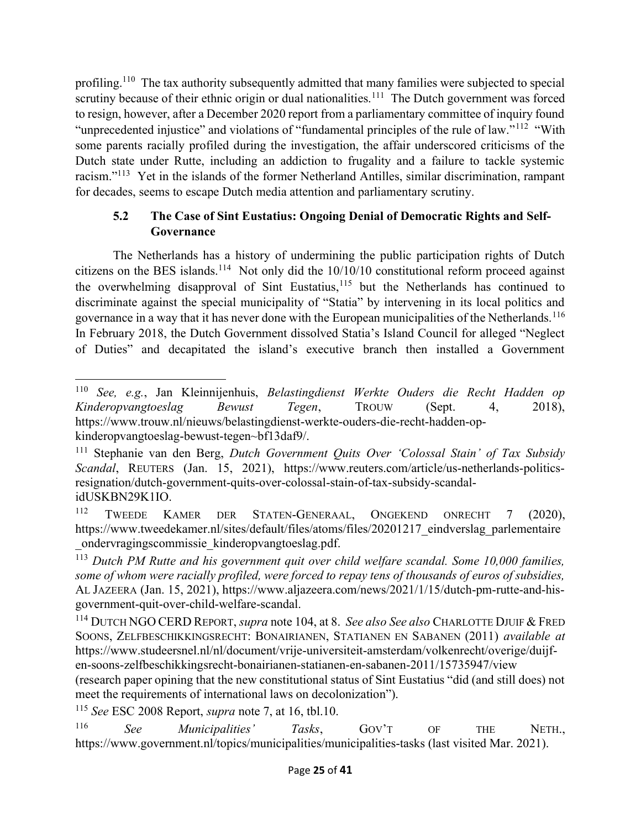profiling.<sup>110</sup> The tax authority subsequently admitted that many families were subjected to special scrutiny because of their ethnic origin or dual nationalities.<sup>111</sup> The Dutch government was forced to resign, however, after a December 2020 report from a parliamentary committee of inquiry found "unprecedented injustice" and violations of "fundamental principles of the rule of law."<sup>112</sup> "With some parents racially profiled during the investigation, the affair underscored criticisms of the Dutch state under Rutte, including an addiction to frugality and a failure to tackle systemic racism."<sup>113</sup> Yet in the islands of the former Netherland Antilles, similar discrimination, rampant for decades, seems to escape Dutch media attention and parliamentary scrutiny.

# 5.2 The Case of Sint Eustatius: Ongoing Denial of Democratic Rights and Self- Governance

 The Netherlands has a history of undermining the public participation rights of Dutch citizens on the BES islands.<sup>114</sup> Not only did the  $10/10/10$  constitutional reform proceed against the overwhelming disapproval of Sint Eustatius,<sup>115</sup> but the Netherlands has continued to discriminate against the special municipality of "Statia" by intervening in its local politics and governance in a way that it has never done with the European municipalities of the Netherlands.  $^{116}$ In February 2018, the Dutch Government dissolved Statia's Island Council for alleged "Neglect of Duties" and decapitated the island's executive branch then installed a Government

<sup>115</sup> See ESC 2008 Report, supra note 7, at 16, tbl.10.

<sup>116</sup> See Municipalities' Tasks, GOV'T OF THE NETH., https://www.government.nl/topics/municipalities/municipalities-tasks (last visited Mar. 2021).

<sup>110</sup> See, e.g., Jan Kleinnijenhuis, Belastingdienst Werkte Ouders die Recht Hadden op Kinderopvangtoeslag Bewust Tegen, TROUW (Sept. 4, 2018), https://www.trouw.nl/nieuws/belastingdienst-werkte-ouders-die-recht-hadden-opkinderopvangtoeslag-bewust-tegen~bf13daf9/.

<sup>&</sup>lt;sup>111</sup> Stephanie van den Berg, Dutch Government Quits Over 'Colossal Stain' of Tax Subsidy Scandal, REUTERS (Jan. 15, 2021), https://www.reuters.com/article/us-netherlands-politicsresignation/dutch-government-quits-over-colossal-stain-of-tax-subsidy-scandalidUSKBN29K1IO.

<sup>112</sup> TWEEDE KAMER DER STATEN-GENERAAL, ONGEKEND ONRECHT 7 (2020), https://www.tweedekamer.nl/sites/default/files/atoms/files/20201217\_eindverslag\_parlementaire \_ondervragingscommissie\_kinderopvangtoeslag.pdf.

 $113$  Dutch PM Rutte and his government quit over child welfare scandal. Some 10,000 families, some of whom were racially profiled, were forced to repay tens of thousands of euros of subsidies, AL JAZEERA (Jan. 15, 2021), https://www.aljazeera.com/news/2021/1/15/dutch-pm-rutte-and-hisgovernment-quit-over-child-welfare-scandal.

<sup>&</sup>lt;sup>114</sup> DUTCH NGO CERD REPORT, *supra* note 104, at 8. See also See also CHARLOTTE DJUIF & FRED SOONS, ZELFBESCHIKKINGSRECHT: BONAIRIANEN, STATIANEN EN SABANEN (2011) available at https://www.studeersnel.nl/nl/document/vrije-universiteit-amsterdam/volkenrecht/overige/duijfen-soons-zelfbeschikkingsrecht-bonairianen-statianen-en-sabanen-2011/15735947/view (research paper opining that the new constitutional status of Sint Eustatius "did (and still does) not meet the requirements of international laws on decolonization").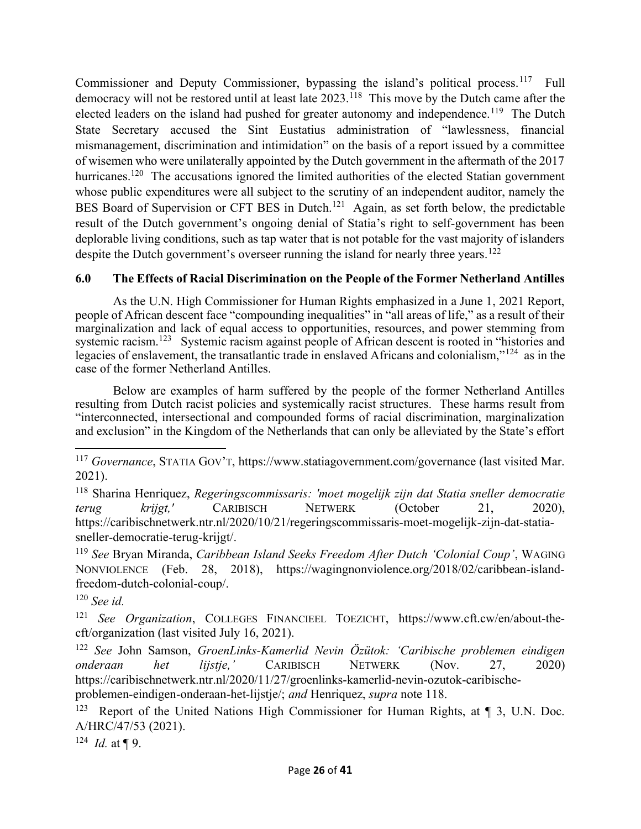Commissioner and Deputy Commissioner, bypassing the island's political process.<sup>117</sup> Full democracy will not be restored until at least late 2023.<sup>118</sup> This move by the Dutch came after the elected leaders on the island had pushed for greater autonomy and independence.<sup>119</sup> The Dutch State Secretary accused the Sint Eustatius administration of "lawlessness, financial mismanagement, discrimination and intimidation" on the basis of a report issued by a committee of wisemen who were unilaterally appointed by the Dutch government in the aftermath of the 2017 hurricanes.<sup>120</sup> The accusations ignored the limited authorities of the elected Statian government whose public expenditures were all subject to the scrutiny of an independent auditor, namely the BES Board of Supervision or CFT BES in Dutch.<sup>121</sup> Again, as set forth below, the predictable result of the Dutch government's ongoing denial of Statia's right to self-government has been deplorable living conditions, such as tap water that is not potable for the vast majority of islanders despite the Dutch government's overseer running the island for nearly three years.<sup>122</sup>

#### 6.0 The Effects of Racial Discrimination on the People of the Former Netherland Antilles

As the U.N. High Commissioner for Human Rights emphasized in a June 1, 2021 Report, people of African descent face "compounding inequalities" in "all areas of life," as a result of their marginalization and lack of equal access to opportunities, resources, and power stemming from systemic racism.<sup>123</sup> Systemic racism against people of African descent is rooted in "histories and legacies of enslavement, the transatlantic trade in enslaved Africans and colonialism,"<sup>124</sup> as in the case of the former Netherland Antilles.

Below are examples of harm suffered by the people of the former Netherland Antilles resulting from Dutch racist policies and systemically racist structures. These harms result from "interconnected, intersectional and compounded forms of racial discrimination, marginalization and exclusion" in the Kingdom of the Netherlands that can only be alleviated by the State's effort

 $118$  Sharina Henriquez, Regeringscommissaris: 'moet mogelijk zijn dat Statia sneller democratie terug krijgt,' CARIBISCH NETWERK (October 21, 2020), https://caribischnetwerk.ntr.nl/2020/10/21/regeringscommissaris-moet-mogelijk-zijn-dat-statiasneller-democratie-terug-krijgt/.

<sup>119</sup> See Bryan Miranda, Caribbean Island Seeks Freedom After Dutch 'Colonial Coup', WAGING NONVIOLENCE (Feb. 28, 2018), https://wagingnonviolence.org/2018/02/caribbean-islandfreedom-dutch-colonial-coup/.

<sup>124</sup> *Id.* at  $\P$  9.

 $117$  Governance, STATIA GOV'T, https://www.statiagovernment.com/governance (last visited Mar. 2021).

 $120$  See id.

<sup>&</sup>lt;sup>121</sup> See Organization, COLLEGES FINANCIEEL TOEZICHT, https://www.cft.cw/en/about-thecft/organization (last visited July 16, 2021).

<sup>&</sup>lt;sup>122</sup> See John Samson, GroenLinks-Kamerlid Nevin Özütok: 'Caribische problemen eindigen onderaan het lijstje,' CARIBISCH NETWERK (Nov. 27, 2020) https://caribischnetwerk.ntr.nl/2020/11/27/groenlinks-kamerlid-nevin-ozutok-caribischeproblemen-eindigen-onderaan-het-lijstje/; and Henriquez, supra note 118.

<sup>&</sup>lt;sup>123</sup> Report of the United Nations High Commissioner for Human Rights, at  $\P$  3, U.N. Doc. A/HRC/47/53 (2021).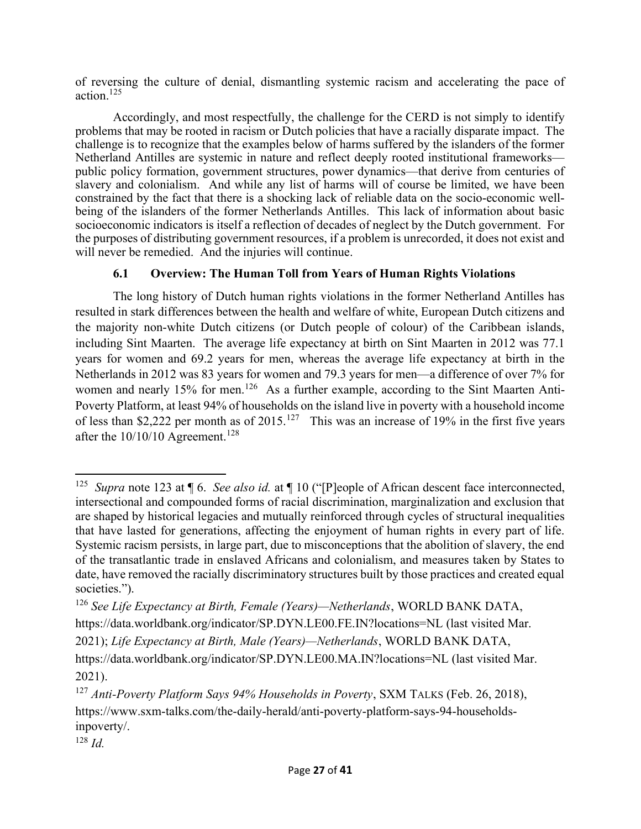of reversing the culture of denial, dismantling systemic racism and accelerating the pace of action.<sup>125</sup>

 Accordingly, and most respectfully, the challenge for the CERD is not simply to identify problems that may be rooted in racism or Dutch policies that have a racially disparate impact. The challenge is to recognize that the examples below of harms suffered by the islanders of the former Netherland Antilles are systemic in nature and reflect deeply rooted institutional frameworks public policy formation, government structures, power dynamics—that derive from centuries of slavery and colonialism. And while any list of harms will of course be limited, we have been constrained by the fact that there is a shocking lack of reliable data on the socio-economic wellbeing of the islanders of the former Netherlands Antilles. This lack of information about basic socioeconomic indicators is itself a reflection of decades of neglect by the Dutch government. For the purposes of distributing government resources, if a problem is unrecorded, it does not exist and will never be remedied. And the injuries will continue.

### 6.1 Overview: The Human Toll from Years of Human Rights Violations

The long history of Dutch human rights violations in the former Netherland Antilles has resulted in stark differences between the health and welfare of white, European Dutch citizens and the majority non-white Dutch citizens (or Dutch people of colour) of the Caribbean islands, including Sint Maarten. The average life expectancy at birth on Sint Maarten in 2012 was 77.1 years for women and 69.2 years for men, whereas the average life expectancy at birth in the Netherlands in 2012 was 83 years for women and 79.3 years for men—a difference of over 7% for women and nearly 15% for men.<sup>126</sup> As a further example, according to the Sint Maarten Anti-Poverty Platform, at least 94% of households on the island live in poverty with a household income of less than \$2,222 per month as of  $2015$ .<sup>127</sup> This was an increase of 19% in the first five years after the  $10/10/10$  Agreement.<sup>128</sup>

<sup>&</sup>lt;sup>125</sup> Supra note 123 at  $\P$  6. See also id. at  $\P$  10 ("[P]eople of African descent face interconnected, intersectional and compounded forms of racial discrimination, marginalization and exclusion that are shaped by historical legacies and mutually reinforced through cycles of structural inequalities that have lasted for generations, affecting the enjoyment of human rights in every part of life. Systemic racism persists, in large part, due to misconceptions that the abolition of slavery, the end of the transatlantic trade in enslaved Africans and colonialism, and measures taken by States to date, have removed the racially discriminatory structures built by those practices and created equal societies.").

 $126$  See Life Expectancy at Birth, Female (Years)—Netherlands, WORLD BANK DATA, https://data.worldbank.org/indicator/SP.DYN.LE00.FE.IN?locations=NL (last visited Mar. 2021); Life Expectancy at Birth, Male (Years)—Netherlands, WORLD BANK DATA, https://data.worldbank.org/indicator/SP.DYN.LE00.MA.IN?locations=NL (last visited Mar. 2021).

 $127$  Anti-Poverty Platform Says 94% Households in Poverty, SXM TALKS (Feb. 26, 2018), https://www.sxm-talks.com/the-daily-herald/anti-poverty-platform-says-94-householdsinpoverty/.

 $128$  *Id.*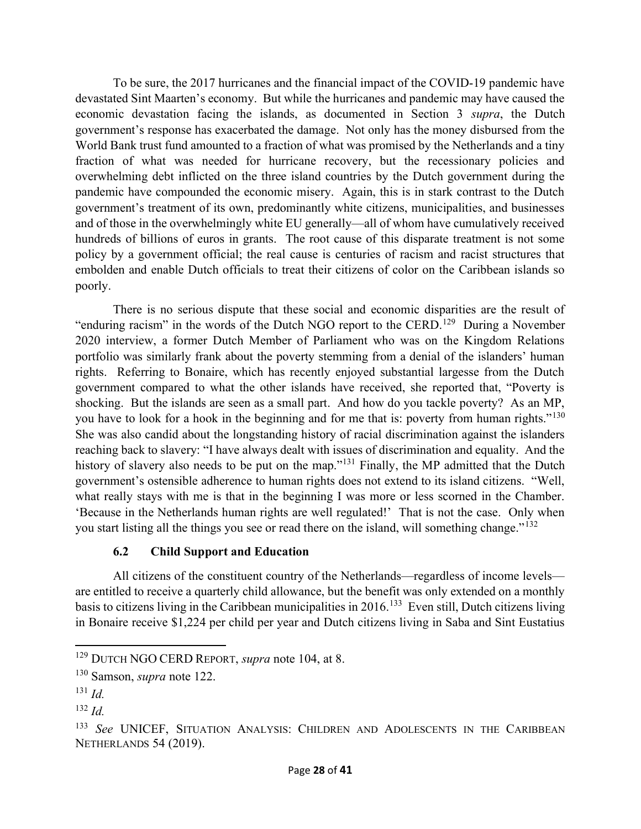To be sure, the 2017 hurricanes and the financial impact of the COVID-19 pandemic have devastated Sint Maarten's economy. But while the hurricanes and pandemic may have caused the economic devastation facing the islands, as documented in Section 3 supra, the Dutch government's response has exacerbated the damage. Not only has the money disbursed from the World Bank trust fund amounted to a fraction of what was promised by the Netherlands and a tiny fraction of what was needed for hurricane recovery, but the recessionary policies and overwhelming debt inflicted on the three island countries by the Dutch government during the pandemic have compounded the economic misery. Again, this is in stark contrast to the Dutch government's treatment of its own, predominantly white citizens, municipalities, and businesses and of those in the overwhelmingly white EU generally—all of whom have cumulatively received hundreds of billions of euros in grants. The root cause of this disparate treatment is not some policy by a government official; the real cause is centuries of racism and racist structures that embolden and enable Dutch officials to treat their citizens of color on the Caribbean islands so poorly.

 There is no serious dispute that these social and economic disparities are the result of "enduring racism" in the words of the Dutch NGO report to the CERD.<sup>129</sup> During a November 2020 interview, a former Dutch Member of Parliament who was on the Kingdom Relations portfolio was similarly frank about the poverty stemming from a denial of the islanders' human rights. Referring to Bonaire, which has recently enjoyed substantial largesse from the Dutch government compared to what the other islands have received, she reported that, "Poverty is shocking. But the islands are seen as a small part. And how do you tackle poverty? As an MP, you have to look for a hook in the beginning and for me that is: poverty from human rights."<sup>130</sup> She was also candid about the longstanding history of racial discrimination against the islanders reaching back to slavery: "I have always dealt with issues of discrimination and equality. And the history of slavery also needs to be put on the map."<sup>131</sup> Finally, the MP admitted that the Dutch government's ostensible adherence to human rights does not extend to its island citizens. "Well, what really stays with me is that in the beginning I was more or less scorned in the Chamber. 'Because in the Netherlands human rights are well regulated!' That is not the case. Only when you start listing all the things you see or read there on the island, will something change."<sup>132</sup>

#### 6.2 Child Support and Education

All citizens of the constituent country of the Netherlands—regardless of income levels are entitled to receive a quarterly child allowance, but the benefit was only extended on a monthly basis to citizens living in the Caribbean municipalities in 2016.<sup>133</sup> Even still, Dutch citizens living in Bonaire receive \$1,224 per child per year and Dutch citizens living in Saba and Sint Eustatius

<sup>&</sup>lt;sup>129</sup> DUTCH NGO CERD REPORT, *supra* note 104, at 8.

<sup>130</sup> Samson, supra note 122.

 $^{131}$  *Id*.

 $132$  *Id.* 

<sup>&</sup>lt;sup>133</sup> See UNICEF, SITUATION ANALYSIS: CHILDREN AND ADOLESCENTS IN THE CARIBBEAN NETHERLANDS 54 (2019).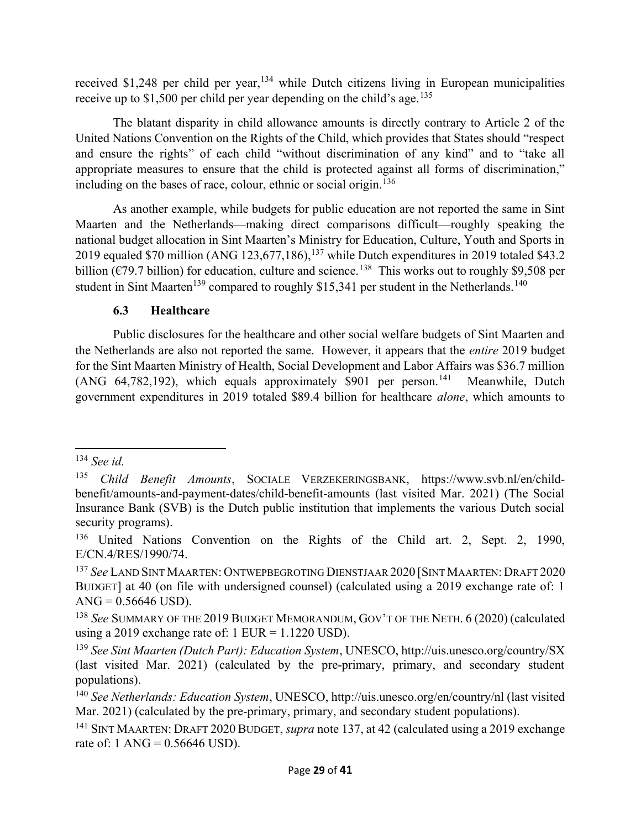received  $$1,248$  per child per year,<sup>134</sup> while Dutch citizens living in European municipalities receive up to \$1,500 per child per year depending on the child's age.<sup>135</sup>

The blatant disparity in child allowance amounts is directly contrary to Article 2 of the United Nations Convention on the Rights of the Child, which provides that States should "respect and ensure the rights" of each child "without discrimination of any kind" and to "take all appropriate measures to ensure that the child is protected against all forms of discrimination," including on the bases of race, colour, ethnic or social origin.<sup>136</sup>

As another example, while budgets for public education are not reported the same in Sint Maarten and the Netherlands—making direct comparisons difficult—roughly speaking the national budget allocation in Sint Maarten's Ministry for Education, Culture, Youth and Sports in 2019 equaled \$70 million (ANG 123,677,186), $^{137}$  while Dutch expenditures in 2019 totaled \$43.2 billion ( $\epsilon$ 79.7 billion) for education, culture and science.<sup>138</sup> This works out to roughly \$9,508 per student in Sint Maarten<sup>139</sup> compared to roughly \$15,341 per student in the Netherlands.<sup>140</sup>

# 6.3 Healthcare

Public disclosures for the healthcare and other social welfare budgets of Sint Maarten and the Netherlands are also not reported the same. However, it appears that the entire 2019 budget for the Sint Maarten Ministry of Health, Social Development and Labor Affairs was \$36.7 million (ANG  $64,782,192$ ), which equals approximately \$901 per person.<sup>141</sup> Meanwhile, Dutch government expenditures in 2019 totaled \$89.4 billion for healthcare alone, which amounts to

 $134$  See id.

<sup>135</sup> Child Benefit Amounts, SOCIALE VERZEKERINGSBANK, https://www.svb.nl/en/childbenefit/amounts-and-payment-dates/child-benefit-amounts (last visited Mar. 2021) (The Social Insurance Bank (SVB) is the Dutch public institution that implements the various Dutch social security programs).

<sup>&</sup>lt;sup>136</sup> United Nations Convention on the Rights of the Child art. 2, Sept. 2, 1990, E/CN.4/RES/1990/74.

<sup>137</sup> See LAND SINT MAARTEN: ONTWEPBEGROTING DIENSTJAAR 2020 [SINT MAARTEN: DRAFT 2020 BUDGET] at 40 (on file with undersigned counsel) (calculated using a 2019 exchange rate of: 1  $ANG = 0.56646$  USD).

<sup>&</sup>lt;sup>138</sup> See SUMMARY OF THE 2019 BUDGET MEMORANDUM, GOV'T OF THE NETH. 6 (2020) (calculated using a 2019 exchange rate of:  $1$  EUR =  $1.1220$  USD).

<sup>&</sup>lt;sup>139</sup> See Sint Maarten (Dutch Part): Education System, UNESCO, http://uis.unesco.org/country/SX (last visited Mar. 2021) (calculated by the pre-primary, primary, and secondary student populations).

<sup>&</sup>lt;sup>140</sup> See Netherlands: Education System, UNESCO, http://uis.unesco.org/en/country/nl (last visited Mar. 2021) (calculated by the pre-primary, primary, and secondary student populations).

<sup>&</sup>lt;sup>141</sup> SINT MAARTEN: DRAFT 2020 BUDGET, *supra* note 137, at 42 (calculated using a 2019 exchange rate of:  $1 \text{ ANG} = 0.56646 \text{ USD}$ .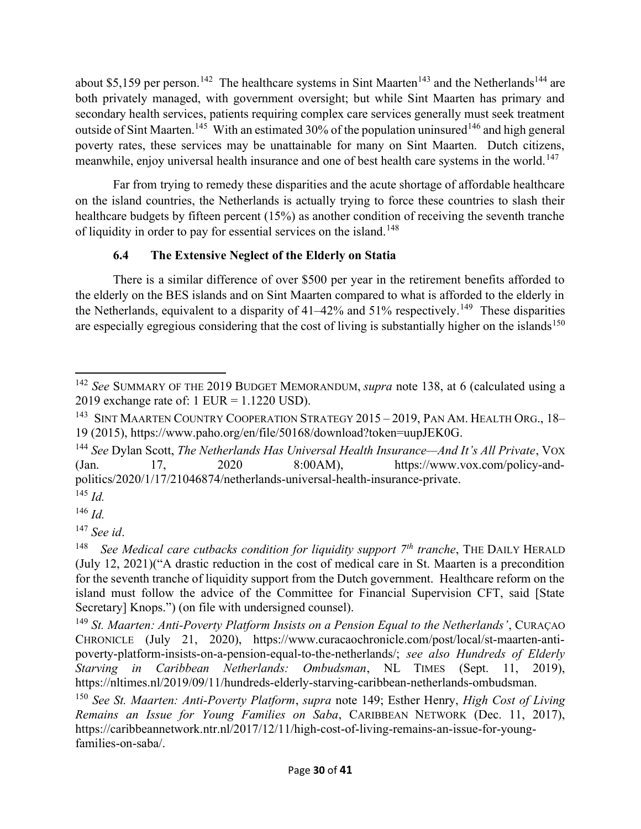about \$5,159 per person.<sup>142</sup> The healthcare systems in Sint Maarten<sup>143</sup> and the Netherlands<sup>144</sup> are both privately managed, with government oversight; but while Sint Maarten has primary and secondary health services, patients requiring complex care services generally must seek treatment outside of Sint Maarten.<sup>145</sup> With an estimated 30% of the population uninsured<sup>146</sup> and high general poverty rates, these services may be unattainable for many on Sint Maarten. Dutch citizens, meanwhile, enjoy universal health insurance and one of best health care systems in the world.<sup>147</sup>

Far from trying to remedy these disparities and the acute shortage of affordable healthcare on the island countries, the Netherlands is actually trying to force these countries to slash their healthcare budgets by fifteen percent (15%) as another condition of receiving the seventh tranche of liquidity in order to pay for essential services on the island.<sup>148</sup>

# 6.4 The Extensive Neglect of the Elderly on Statia

There is a similar difference of over \$500 per year in the retirement benefits afforded to the elderly on the BES islands and on Sint Maarten compared to what is afforded to the elderly in the Netherlands, equivalent to a disparity of  $41-42\%$  and  $51\%$  respectively.<sup>149</sup> These disparities are especially egregious considering that the cost of living is substantially higher on the islands<sup>150</sup>

<sup>&</sup>lt;sup>142</sup> See SUMMARY OF THE 2019 BUDGET MEMORANDUM, *supra* note 138, at 6 (calculated using a 2019 exchange rate of: 1 EUR = 1.1220 USD).

<sup>&</sup>lt;sup>143</sup> SINT MAARTEN COUNTRY COOPERATION STRATEGY 2015 – 2019, PAN AM. HEALTH ORG., 18– 19 (2015), https://www.paho.org/en/file/50168/download?token=uupJEK0G.

<sup>&</sup>lt;sup>144</sup> See Dylan Scott, The Netherlands Has Universal Health Insurance—And It's All Private, VOX (Jan. 17, 2020 8:00AM), https://www.vox.com/policy-andpolitics/2020/1/17/21046874/netherlands-universal-health-insurance-private.

 $^{145}$  *Id.*  $146$  *Id.* 

 $147$  See id.

<sup>148</sup> See Medical care cutbacks condition for liquidity support  $7<sup>th</sup>$  tranche, THE DAILY HERALD (July 12, 2021)("A drastic reduction in the cost of medical care in St. Maarten is a precondition for the seventh tranche of liquidity support from the Dutch government. Healthcare reform on the island must follow the advice of the Committee for Financial Supervision CFT, said [State Secretary] Knops.") (on file with undersigned counsel).

 $149$  St. Maarten: Anti-Poverty Platform Insists on a Pension Equal to the Netherlands', CURAÇAO CHRONICLE (July 21, 2020), https://www.curacaochronicle.com/post/local/st-maarten-antipoverty-platform-insists-on-a-pension-equal-to-the-netherlands/; see also Hundreds of Elderly Starving in Caribbean Netherlands: Ombudsman, NL TIMES (Sept. 11, 2019), https://nltimes.nl/2019/09/11/hundreds-elderly-starving-caribbean-netherlands-ombudsman.

<sup>&</sup>lt;sup>150</sup> See St. Maarten: Anti-Poverty Platform, supra note 149; Esther Henry, High Cost of Living Remains an Issue for Young Families on Saba, CARIBBEAN NETWORK (Dec. 11, 2017), https://caribbeannetwork.ntr.nl/2017/12/11/high-cost-of-living-remains-an-issue-for-youngfamilies-on-saba/.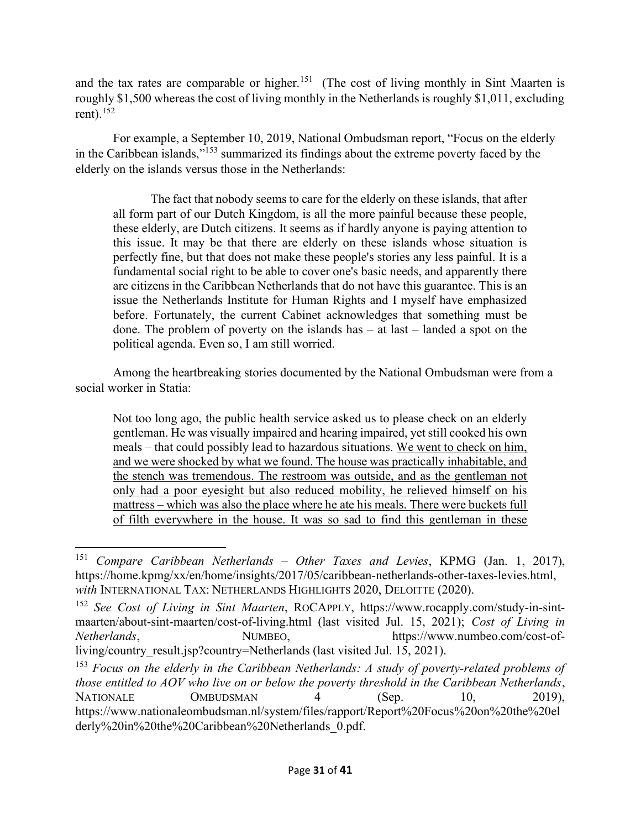and the tax rates are comparable or higher.<sup>151</sup> (The cost of living monthly in Sint Maarten is roughly \$1,500 whereas the cost of living monthly in the Netherlands is roughly \$1,011, excluding rent). $152$ 

For example, a September 10, 2019, National Ombudsman report, "Focus on the elderly in the Caribbean islands,"<sup>153</sup> summarized its findings about the extreme poverty faced by the elderly on the islands versus those in the Netherlands:

 The fact that nobody seems to care for the elderly on these islands, that after all form part of our Dutch Kingdom, is all the more painful because these people, these elderly, are Dutch citizens. It seems as if hardly anyone is paying attention to this issue. It may be that there are elderly on these islands whose situation is perfectly fine, but that does not make these people's stories any less painful. It is a fundamental social right to be able to cover one's basic needs, and apparently there are citizens in the Caribbean Netherlands that do not have this guarantee. This is an issue the Netherlands Institute for Human Rights and I myself have emphasized before. Fortunately, the current Cabinet acknowledges that something must be done. The problem of poverty on the islands has – at last – landed a spot on the political agenda. Even so, I am still worried.

 Among the heartbreaking stories documented by the National Ombudsman were from a social worker in Statia:

Not too long ago, the public health service asked us to please check on an elderly gentleman. He was visually impaired and hearing impaired, yet still cooked his own meals – that could possibly lead to hazardous situations. We went to check on him, and we were shocked by what we found. The house was practically inhabitable, and the stench was tremendous. The restroom was outside, and as the gentleman not only had a poor eyesight but also reduced mobility, he relieved himself on his mattress – which was also the place where he ate his meals. There were buckets full of filth everywhere in the house. It was so sad to find this gentleman in these

<sup>&</sup>lt;sup>151</sup> Compare Caribbean Netherlands – Other Taxes and Levies, KPMG (Jan. 1, 2017), https://home.kpmg/xx/en/home/insights/2017/05/caribbean-netherlands-other-taxes-levies.html, with INTERNATIONAL TAX: NETHERLANDS HIGHLIGHTS 2020, DELOITTE (2020).

<sup>&</sup>lt;sup>152</sup> See Cost of Living in Sint Maarten, ROCAPPLY, https://www.rocapply.com/study-in-sintmaarten/about-sint-maarten/cost-of-living.html (last visited Jul. 15, 2021); Cost of Living in Netherlands, NUMBEO, https://www.numbeo.com/cost-ofliving/country result.jsp?country=Netherlands (last visited Jul. 15, 2021).

<sup>&</sup>lt;sup>153</sup> Focus on the elderly in the Caribbean Netherlands: A study of poverty-related problems of those entitled to AOV who live on or below the poverty threshold in the Caribbean Netherlands, NATIONALE OMBUDSMAN 4 (Sep. 10, 2019), https://www.nationaleombudsman.nl/system/files/rapport/Report%20Focus%20on%20the%20el derly%20in%20the%20Caribbean%20Netherlands\_0.pdf.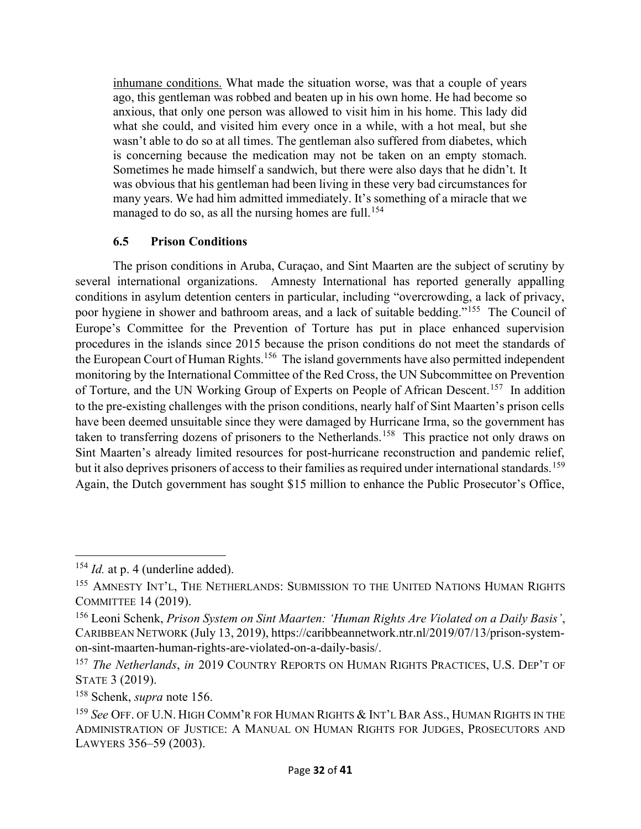inhumane conditions. What made the situation worse, was that a couple of years ago, this gentleman was robbed and beaten up in his own home. He had become so anxious, that only one person was allowed to visit him in his home. This lady did what she could, and visited him every once in a while, with a hot meal, but she wasn't able to do so at all times. The gentleman also suffered from diabetes, which is concerning because the medication may not be taken on an empty stomach. Sometimes he made himself a sandwich, but there were also days that he didn't. It was obvious that his gentleman had been living in these very bad circumstances for many years. We had him admitted immediately. It's something of a miracle that we managed to do so, as all the nursing homes are full.<sup>154</sup>

### 6.5 Prison Conditions

The prison conditions in Aruba, Curaçao, and Sint Maarten are the subject of scrutiny by several international organizations. Amnesty International has reported generally appalling conditions in asylum detention centers in particular, including "overcrowding, a lack of privacy, poor hygiene in shower and bathroom areas, and a lack of suitable bedding."<sup>155</sup> The Council of Europe's Committee for the Prevention of Torture has put in place enhanced supervision procedures in the islands since 2015 because the prison conditions do not meet the standards of the European Court of Human Rights.<sup>156</sup> The island governments have also permitted independent monitoring by the International Committee of the Red Cross, the UN Subcommittee on Prevention of Torture, and the UN Working Group of Experts on People of African Descent.<sup>157</sup> In addition to the pre-existing challenges with the prison conditions, nearly half of Sint Maarten's prison cells have been deemed unsuitable since they were damaged by Hurricane Irma, so the government has taken to transferring dozens of prisoners to the Netherlands.<sup>158</sup> This practice not only draws on Sint Maarten's already limited resources for post-hurricane reconstruction and pandemic relief, but it also deprives prisoners of access to their families as required under international standards. <sup>159</sup> Again, the Dutch government has sought \$15 million to enhance the Public Prosecutor's Office,

 $154$  *Id.* at p. 4 (underline added).

<sup>&</sup>lt;sup>155</sup> AMNESTY INT'L, THE NETHERLANDS: SUBMISSION TO THE UNITED NATIONS HUMAN RIGHTS COMMITTEE 14 (2019).

<sup>&</sup>lt;sup>156</sup> Leoni Schenk, Prison System on Sint Maarten: 'Human Rights Are Violated on a Daily Basis', CARIBBEAN NETWORK (July 13, 2019), https://caribbeannetwork.ntr.nl/2019/07/13/prison-systemon-sint-maarten-human-rights-are-violated-on-a-daily-basis/.

<sup>&</sup>lt;sup>157</sup> The Netherlands, in 2019 COUNTRY REPORTS ON HUMAN RIGHTS PRACTICES, U.S. DEP'T OF STATE 3 (2019).

<sup>&</sup>lt;sup>158</sup> Schenk, *supra* note 156.

<sup>&</sup>lt;sup>159</sup> See OFF. OF U.N. HIGH COMM'R FOR HUMAN RIGHTS & INT'L BAR ASS., HUMAN RIGHTS IN THE ADMINISTRATION OF JUSTICE: A MANUAL ON HUMAN RIGHTS FOR JUDGES, PROSECUTORS AND LAWYERS 356–59 (2003).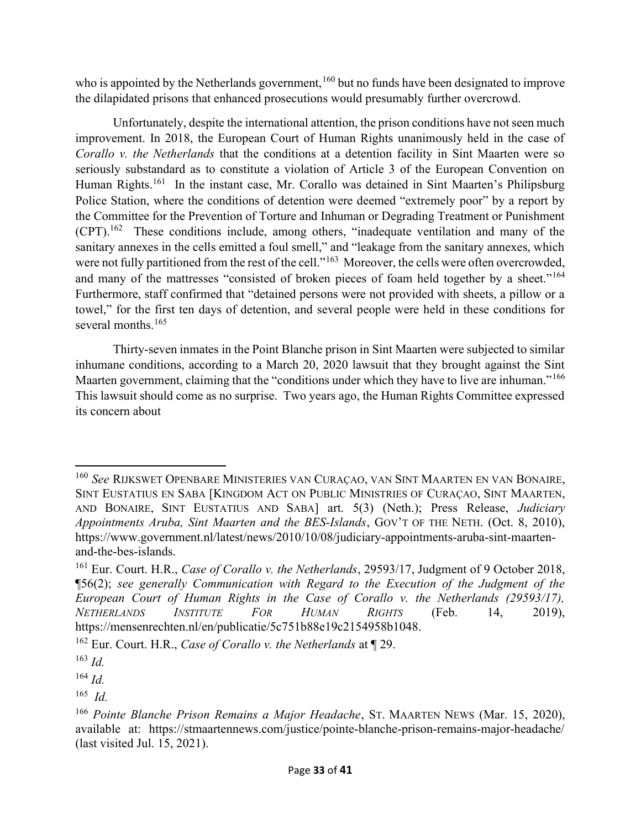who is appointed by the Netherlands government,<sup>160</sup> but no funds have been designated to improve the dilapidated prisons that enhanced prosecutions would presumably further overcrowd.

Unfortunately, despite the international attention, the prison conditions have not seen much improvement. In 2018, the European Court of Human Rights unanimously held in the case of Corallo v. the Netherlands that the conditions at a detention facility in Sint Maarten were so seriously substandard as to constitute a violation of Article 3 of the European Convention on Human Rights.<sup>161</sup> In the instant case, Mr. Corallo was detained in Sint Maarten's Philipsburg Police Station, where the conditions of detention were deemed "extremely poor" by a report by the Committee for the Prevention of Torture and Inhuman or Degrading Treatment or Punishment (CPT).<sup>162</sup> These conditions include, among others, "inadequate ventilation and many of the sanitary annexes in the cells emitted a foul smell," and "leakage from the sanitary annexes, which were not fully partitioned from the rest of the cell."<sup>163</sup> Moreover, the cells were often overcrowded, and many of the mattresses "consisted of broken pieces of foam held together by a sheet."<sup>164</sup> Furthermore, staff confirmed that "detained persons were not provided with sheets, a pillow or a towel," for the first ten days of detention, and several people were held in these conditions for several months.<sup>165</sup>

Thirty-seven inmates in the Point Blanche prison in Sint Maarten were subjected to similar inhumane conditions, according to a March 20, 2020 lawsuit that they brought against the Sint Maarten government, claiming that the "conditions under which they have to live are inhuman."<sup>166</sup> This lawsuit should come as no surprise. Two years ago, the Human Rights Committee expressed its concern about

<sup>160</sup> See RIJKSWET OPENBARE MINISTERIES VAN CURAÇAO, VAN SINT MAARTEN EN VAN BONAIRE, SINT EUSTATIUS EN SABA [KINGDOM ACT ON PUBLIC MINISTRIES OF CURAÇAO, SINT MAARTEN, AND BONAIRE, SINT EUSTATIUS AND SABA] art. 5(3) (Neth.); Press Release, Judiciary Appointments Aruba, Sint Maarten and the BES-Islands, GOV'T OF THE NETH. (Oct. 8, 2010), https://www.government.nl/latest/news/2010/10/08/judiciary-appointments-aruba-sint-maartenand-the-bes-islands.

<sup>&</sup>lt;sup>161</sup> Eur. Court. H.R., *Case of Corallo v. the Netherlands*, 29593/17, Judgment of 9 October 2018, ¶56(2); see generally Communication with Regard to the Execution of the Judgment of the European Court of Human Rights in the Case of Corallo v. the Netherlands (29593/17), NETHERLANDS INSTITUTE FOR HUMAN RIGHTS (Feb. 14, 2019), https://mensenrechten.nl/en/publicatie/5c751b88e19c2154958b1048.

<sup>&</sup>lt;sup>162</sup> Eur. Court. H.R., *Case of Corallo v. the Netherlands* at  $\P$  29.

 $163$  *Id.* 

 $164$  *Id.* 

 $165$  *Id.* 

<sup>&</sup>lt;sup>166</sup> Pointe Blanche Prison Remains a Major Headache, ST. MAARTEN NEWS (Mar. 15, 2020), available at: https://stmaartennews.com/justice/pointe-blanche-prison-remains-major-headache/ (last visited Jul. 15, 2021).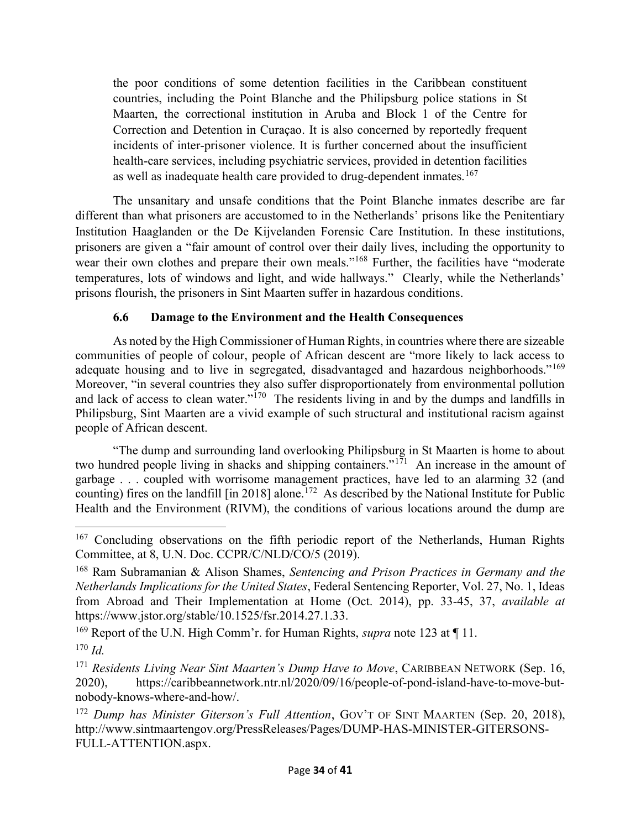the poor conditions of some detention facilities in the Caribbean constituent countries, including the Point Blanche and the Philipsburg police stations in St Maarten, the correctional institution in Aruba and Block 1 of the Centre for Correction and Detention in Curaçao. It is also concerned by reportedly frequent incidents of inter-prisoner violence. It is further concerned about the insufficient health-care services, including psychiatric services, provided in detention facilities as well as inadequate health care provided to drug-dependent inmates.<sup>167</sup>

The unsanitary and unsafe conditions that the Point Blanche inmates describe are far different than what prisoners are accustomed to in the Netherlands' prisons like the Penitentiary Institution Haaglanden or the De Kijvelanden Forensic Care Institution. In these institutions, prisoners are given a "fair amount of control over their daily lives, including the opportunity to wear their own clothes and prepare their own meals."<sup>168</sup> Further, the facilities have "moderate temperatures, lots of windows and light, and wide hallways." Clearly, while the Netherlands' prisons flourish, the prisoners in Sint Maarten suffer in hazardous conditions.

### 6.6 Damage to the Environment and the Health Consequences

As noted by the High Commissioner of Human Rights, in countries where there are sizeable communities of people of colour, people of African descent are "more likely to lack access to adequate housing and to live in segregated, disadvantaged and hazardous neighborhoods."<sup>169</sup> Moreover, "in several countries they also suffer disproportionately from environmental pollution and lack of access to clean water."<sup>170</sup> The residents living in and by the dumps and landfills in Philipsburg, Sint Maarten are a vivid example of such structural and institutional racism against people of African descent.

"The dump and surrounding land overlooking Philipsburg in St Maarten is home to about two hundred people living in shacks and shipping containers."<sup>171</sup> An increase in the amount of garbage . . . coupled with worrisome management practices, have led to an alarming 32 (and counting) fires on the landfill  $\left[\text{in } 2018\right]$  alone.<sup>172</sup> As described by the National Institute for Public Health and the Environment (RIVM), the conditions of various locations around the dump are

<sup>&</sup>lt;sup>167</sup> Concluding observations on the fifth periodic report of the Netherlands, Human Rights Committee, at 8, U.N. Doc. CCPR/C/NLD/CO/5 (2019).

<sup>&</sup>lt;sup>168</sup> Ram Subramanian & Alison Shames, Sentencing and Prison Practices in Germany and the Netherlands Implications for the United States, Federal Sentencing Reporter, Vol. 27, No. 1, Ideas from Abroad and Their Implementation at Home (Oct. 2014), pp. 33-45, 37, available at https://www.jstor.org/stable/10.1525/fsr.2014.27.1.33.

<sup>&</sup>lt;sup>169</sup> Report of the U.N. High Comm'r. for Human Rights, *supra* note 123 at  $\P$  11.  $170$  *Id.* 

 $171$  Residents Living Near Sint Maarten's Dump Have to Move, CARIBBEAN NETWORK (Sep. 16, 2020), https://caribbeannetwork.ntr.nl/2020/09/16/people-of-pond-island-have-to-move-butnobody-knows-where-and-how/.

 $172$  Dump has Minister Giterson's Full Attention, GOV'T OF SINT MAARTEN (Sep. 20, 2018), http://www.sintmaartengov.org/PressReleases/Pages/DUMP-HAS-MINISTER-GITERSONS-FULL-ATTENTION.aspx.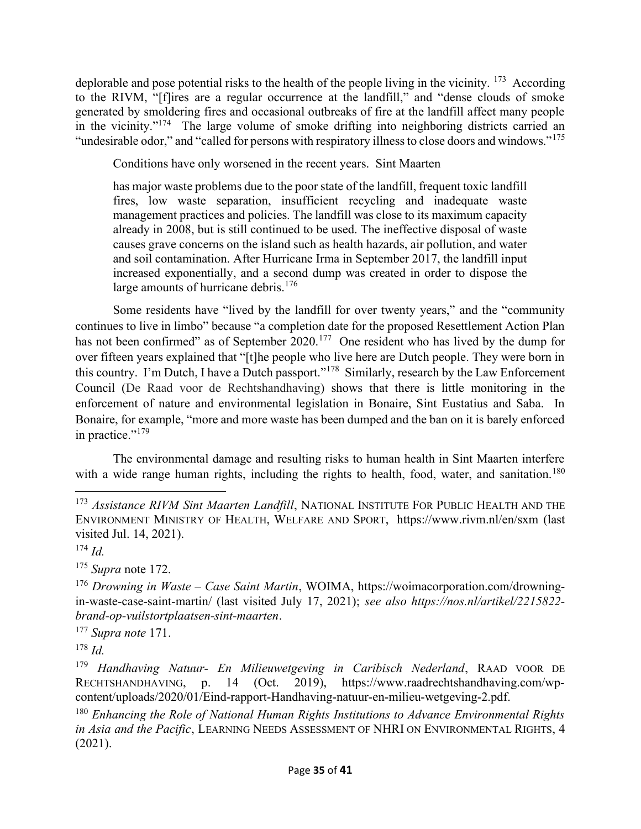deplorable and pose potential risks to the health of the people living in the vicinity.  $173$  According to the RIVM, "[f]ires are a regular occurrence at the landfill," and "dense clouds of smoke generated by smoldering fires and occasional outbreaks of fire at the landfill affect many people in the vicinity. $174$  The large volume of smoke drifting into neighboring districts carried an "undesirable odor," and "called for persons with respiratory illness to close doors and windows."<sup>175</sup>

Conditions have only worsened in the recent years. Sint Maarten

has major waste problems due to the poor state of the landfill, frequent toxic landfill fires, low waste separation, insufficient recycling and inadequate waste management practices and policies. The landfill was close to its maximum capacity already in 2008, but is still continued to be used. The ineffective disposal of waste causes grave concerns on the island such as health hazards, air pollution, and water and soil contamination. After Hurricane Irma in September 2017, the landfill input increased exponentially, and a second dump was created in order to dispose the large amounts of hurricane debris.<sup>176</sup>

Some residents have "lived by the landfill for over twenty years," and the "community continues to live in limbo" because "a completion date for the proposed Resettlement Action Plan has not been confirmed" as of September 2020.<sup>177</sup> One resident who has lived by the dump for over fifteen years explained that "[t]he people who live here are Dutch people. They were born in this country. I'm Dutch, I have a Dutch passport."<sup>178</sup> Similarly, research by the Law Enforcement Council (De Raad voor de Rechtshandhaving) shows that there is little monitoring in the enforcement of nature and environmental legislation in Bonaire, Sint Eustatius and Saba. In Bonaire, for example, "more and more waste has been dumped and the ban on it is barely enforced in practice."<sup>179</sup>

The environmental damage and resulting risks to human health in Sint Maarten interfere with a wide range human rights, including the rights to health, food, water, and sanitation.<sup>180</sup>

 $175$  Supra note 172.

 $177$  Supra note 171.

 $178$  *Id.* 

<sup>&</sup>lt;sup>173</sup> Assistance RIVM Sint Maarten Landfill, NATIONAL INSTITUTE FOR PUBLIC HEALTH AND THE ENVIRONMENT MINISTRY OF HEALTH, WELFARE AND SPORT, https://www.rivm.nl/en/sxm (last visited Jul. 14, 2021).

 $174$  *Id.* 

 $176$  Drowning in Waste – Case Saint Martin, WOIMA, https://woimacorporation.com/drowningin-waste-case-saint-martin/ (last visited July 17, 2021); see also https://nos.nl/artikel/2215822 brand-op-vuilstortplaatsen-sint-maarten.

 $179$  Handhaving Natuur- En Milieuwetgeving in Caribisch Nederland, RAAD VOOR DE RECHTSHANDHAVING, p. 14 (Oct. 2019), https://www.raadrechtshandhaving.com/wpcontent/uploads/2020/01/Eind-rapport-Handhaving-natuur-en-milieu-wetgeving-2.pdf.

 $180$  Enhancing the Role of National Human Rights Institutions to Advance Environmental Rights in Asia and the Pacific, LEARNING NEEDS ASSESSMENT OF NHRI ON ENVIRONMENTAL RIGHTS, 4 (2021).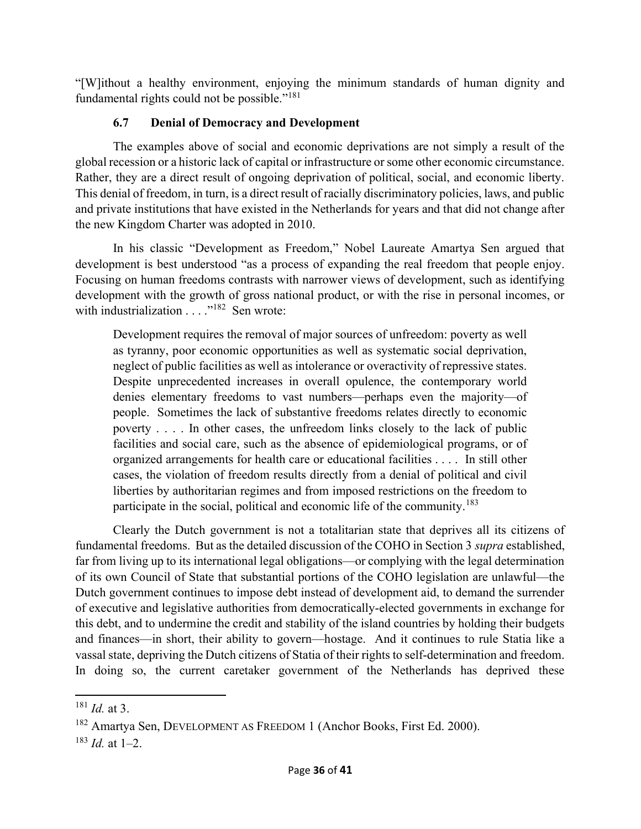"[W]ithout a healthy environment, enjoying the minimum standards of human dignity and fundamental rights could not be possible."<sup>181</sup>

# 6.7 Denial of Democracy and Development

The examples above of social and economic deprivations are not simply a result of the global recession or a historic lack of capital or infrastructure or some other economic circumstance. Rather, they are a direct result of ongoing deprivation of political, social, and economic liberty. This denial of freedom, in turn, is a direct result of racially discriminatory policies, laws, and public and private institutions that have existed in the Netherlands for years and that did not change after the new Kingdom Charter was adopted in 2010.

In his classic "Development as Freedom," Nobel Laureate Amartya Sen argued that development is best understood "as a process of expanding the real freedom that people enjoy. Focusing on human freedoms contrasts with narrower views of development, such as identifying development with the growth of gross national product, or with the rise in personal incomes, or with industrialization . . . . "<sup>182</sup> Sen wrote:

Development requires the removal of major sources of unfreedom: poverty as well as tyranny, poor economic opportunities as well as systematic social deprivation, neglect of public facilities as well as intolerance or overactivity of repressive states. Despite unprecedented increases in overall opulence, the contemporary world denies elementary freedoms to vast numbers—perhaps even the majority—of people. Sometimes the lack of substantive freedoms relates directly to economic poverty . . . . In other cases, the unfreedom links closely to the lack of public facilities and social care, such as the absence of epidemiological programs, or of organized arrangements for health care or educational facilities . . . . In still other cases, the violation of freedom results directly from a denial of political and civil liberties by authoritarian regimes and from imposed restrictions on the freedom to participate in the social, political and economic life of the community.<sup>183</sup>

Clearly the Dutch government is not a totalitarian state that deprives all its citizens of fundamental freedoms. But as the detailed discussion of the COHO in Section 3 supra established, far from living up to its international legal obligations—or complying with the legal determination of its own Council of State that substantial portions of the COHO legislation are unlawful—the Dutch government continues to impose debt instead of development aid, to demand the surrender of executive and legislative authorities from democratically-elected governments in exchange for this debt, and to undermine the credit and stability of the island countries by holding their budgets and finances—in short, their ability to govern—hostage. And it continues to rule Statia like a vassal state, depriving the Dutch citizens of Statia of their rights to self-determination and freedom. In doing so, the current caretaker government of the Netherlands has deprived these

 $181$  *Id.* at 3.

<sup>182</sup> Amartya Sen, DEVELOPMENT AS FREEDOM 1 (Anchor Books, First Ed. 2000).

 $183$  *Id.* at 1–2.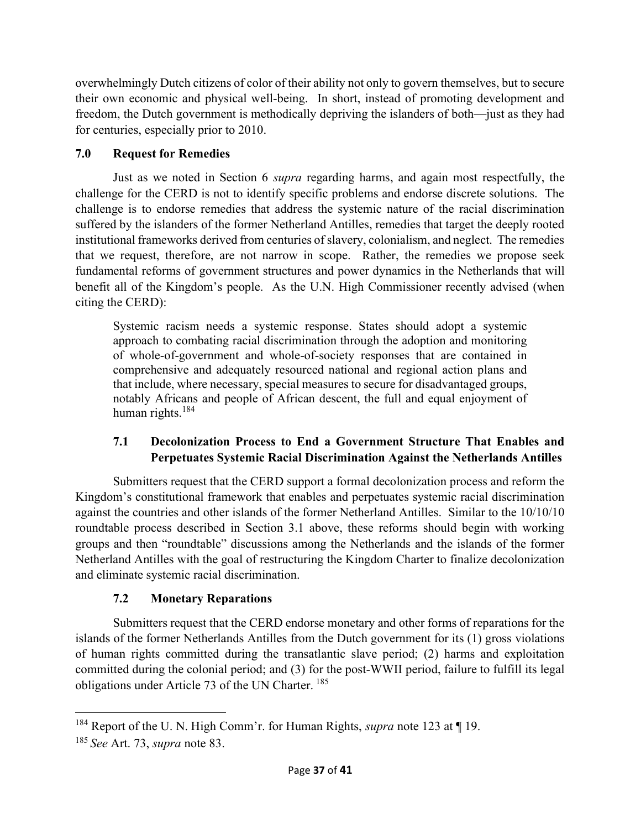overwhelmingly Dutch citizens of color of their ability not only to govern themselves, but to secure their own economic and physical well-being. In short, instead of promoting development and freedom, the Dutch government is methodically depriving the islanders of both—just as they had for centuries, especially prior to 2010.

# 7.0 Request for Remedies

 Just as we noted in Section 6 supra regarding harms, and again most respectfully, the challenge for the CERD is not to identify specific problems and endorse discrete solutions. The challenge is to endorse remedies that address the systemic nature of the racial discrimination suffered by the islanders of the former Netherland Antilles, remedies that target the deeply rooted institutional frameworks derived from centuries of slavery, colonialism, and neglect. The remedies that we request, therefore, are not narrow in scope. Rather, the remedies we propose seek fundamental reforms of government structures and power dynamics in the Netherlands that will benefit all of the Kingdom's people. As the U.N. High Commissioner recently advised (when citing the CERD):

Systemic racism needs a systemic response. States should adopt a systemic approach to combating racial discrimination through the adoption and monitoring of whole-of-government and whole-of-society responses that are contained in comprehensive and adequately resourced national and regional action plans and that include, where necessary, special measures to secure for disadvantaged groups, notably Africans and people of African descent, the full and equal enjoyment of human rights.<sup>184</sup>

# 7.1 Decolonization Process to End a Government Structure That Enables and Perpetuates Systemic Racial Discrimination Against the Netherlands Antilles

Submitters request that the CERD support a formal decolonization process and reform the Kingdom's constitutional framework that enables and perpetuates systemic racial discrimination against the countries and other islands of the former Netherland Antilles. Similar to the 10/10/10 roundtable process described in Section 3.1 above, these reforms should begin with working groups and then "roundtable" discussions among the Netherlands and the islands of the former Netherland Antilles with the goal of restructuring the Kingdom Charter to finalize decolonization and eliminate systemic racial discrimination.

# 7.2 Monetary Reparations

Submitters request that the CERD endorse monetary and other forms of reparations for the islands of the former Netherlands Antilles from the Dutch government for its (1) gross violations of human rights committed during the transatlantic slave period; (2) harms and exploitation committed during the colonial period; and (3) for the post-WWII period, failure to fulfill its legal obligations under Article 73 of the UN Charter.<sup>185</sup>

<sup>&</sup>lt;sup>184</sup> Report of the U. N. High Comm'r. for Human Rights, *supra* note 123 at  $\P$  19.

 $185$  See Art. 73, supra note 83.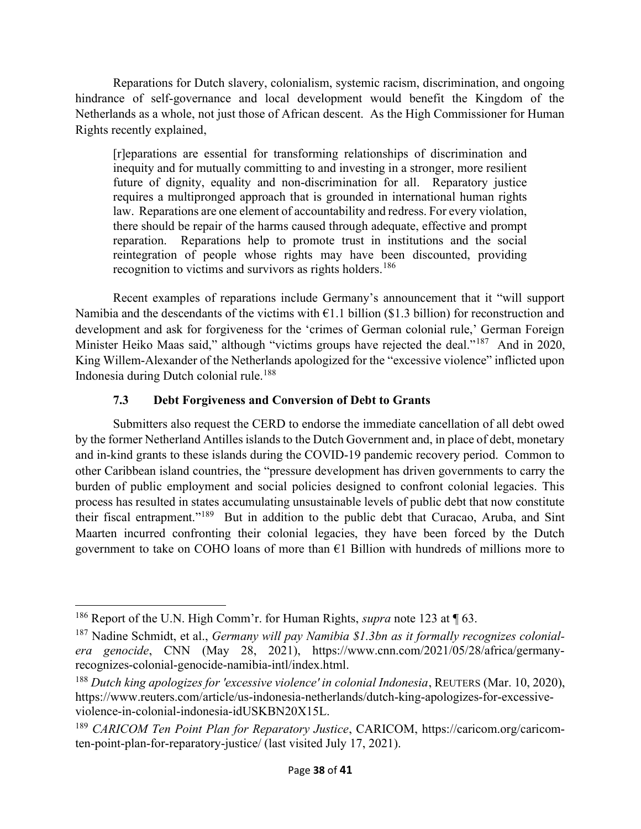Reparations for Dutch slavery, colonialism, systemic racism, discrimination, and ongoing hindrance of self-governance and local development would benefit the Kingdom of the Netherlands as a whole, not just those of African descent. As the High Commissioner for Human Rights recently explained,

[r]eparations are essential for transforming relationships of discrimination and inequity and for mutually committing to and investing in a stronger, more resilient future of dignity, equality and non-discrimination for all. Reparatory justice requires a multipronged approach that is grounded in international human rights law. Reparations are one element of accountability and redress. For every violation, there should be repair of the harms caused through adequate, effective and prompt reparation. Reparations help to promote trust in institutions and the social reintegration of people whose rights may have been discounted, providing recognition to victims and survivors as rights holders.<sup>186</sup>

 Recent examples of reparations include Germany's announcement that it "will support Namibia and the descendants of the victims with  $\epsilon$ 1.1 billion (\$1.3 billion) for reconstruction and development and ask for forgiveness for the 'crimes of German colonial rule,' German Foreign Minister Heiko Maas said," although "victims groups have rejected the deal."<sup>187</sup> And in 2020, King Willem-Alexander of the Netherlands apologized for the "excessive violence" inflicted upon Indonesia during Dutch colonial rule.<sup>188</sup>

# 7.3 Debt Forgiveness and Conversion of Debt to Grants

Submitters also request the CERD to endorse the immediate cancellation of all debt owed by the former Netherland Antilles islands to the Dutch Government and, in place of debt, monetary and in-kind grants to these islands during the COVID-19 pandemic recovery period. Common to other Caribbean island countries, the "pressure development has driven governments to carry the burden of public employment and social policies designed to confront colonial legacies. This process has resulted in states accumulating unsustainable levels of public debt that now constitute their fiscal entrapment."<sup>189</sup> But in addition to the public debt that Curacao, Aruba, and Sint Maarten incurred confronting their colonial legacies, they have been forced by the Dutch government to take on COHO loans of more than  $E1$  Billion with hundreds of millions more to

<sup>&</sup>lt;sup>186</sup> Report of the U.N. High Comm'r. for Human Rights, *supra* note 123 at  $\P$  63.

<sup>&</sup>lt;sup>187</sup> Nadine Schmidt, et al., *Germany will pay Namibia \$1.3bn as it formally recognizes colonial*era genocide, CNN (May 28, 2021), https://www.cnn.com/2021/05/28/africa/germanyrecognizes-colonial-genocide-namibia-intl/index.html.

 $188$  Dutch king apologizes for 'excessive violence' in colonial Indonesia, REUTERS (Mar. 10, 2020), https://www.reuters.com/article/us-indonesia-netherlands/dutch-king-apologizes-for-excessiveviolence-in-colonial-indonesia-idUSKBN20X15L.

<sup>&</sup>lt;sup>189</sup> CARICOM Ten Point Plan for Reparatory Justice, CARICOM, https://caricom.org/caricomten-point-plan-for-reparatory-justice/ (last visited July 17, 2021).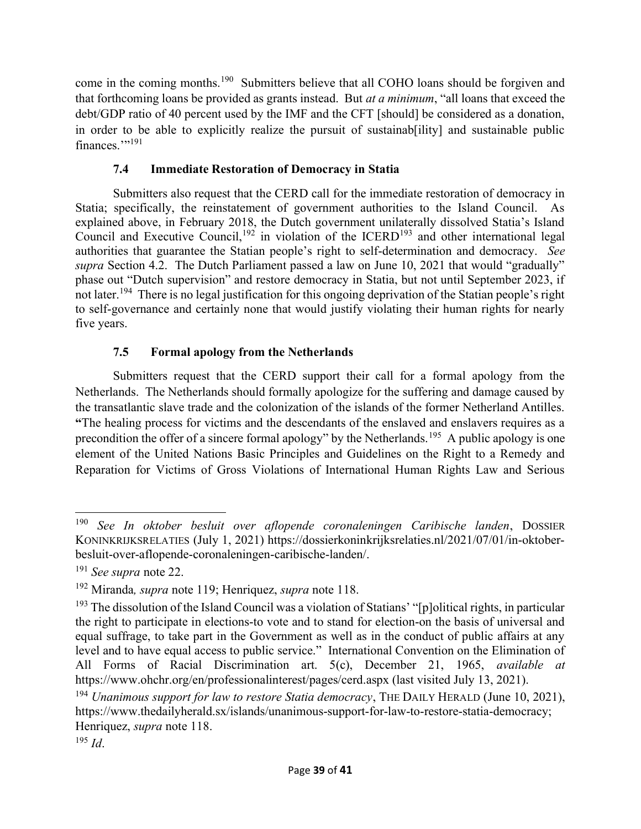come in the coming months.<sup>190</sup> Submitters believe that all COHO loans should be forgiven and that forthcoming loans be provided as grants instead. But at a minimum, "all loans that exceed the debt/GDP ratio of 40 percent used by the IMF and the CFT [should] be considered as a donation, in order to be able to explicitly realize the pursuit of sustainab[ility] and sustainable public finances."<sup>191</sup>

# 7.4 Immediate Restoration of Democracy in Statia

Submitters also request that the CERD call for the immediate restoration of democracy in Statia; specifically, the reinstatement of government authorities to the Island Council. As explained above, in February 2018, the Dutch government unilaterally dissolved Statia's Island Council and Executive Council,<sup>192</sup> in violation of the ICERD<sup>193</sup> and other international legal authorities that guarantee the Statian people's right to self-determination and democracy. See supra Section 4.2. The Dutch Parliament passed a law on June 10, 2021 that would "gradually" phase out "Dutch supervision" and restore democracy in Statia, but not until September 2023, if not later.<sup>194</sup> There is no legal justification for this ongoing deprivation of the Statian people's right to self-governance and certainly none that would justify violating their human rights for nearly five years.

# 7.5 Formal apology from the Netherlands

Submitters request that the CERD support their call for a formal apology from the Netherlands. The Netherlands should formally apologize for the suffering and damage caused by the transatlantic slave trade and the colonization of the islands of the former Netherland Antilles. "The healing process for victims and the descendants of the enslaved and enslavers requires as a precondition the offer of a sincere formal apology" by the Netherlands.<sup>195</sup> A public apology is one element of the United Nations Basic Principles and Guidelines on the Right to a Remedy and Reparation for Victims of Gross Violations of International Human Rights Law and Serious

<sup>&</sup>lt;sup>190</sup> See In oktober besluit over aflopende coronaleningen Caribische landen, DOSSIER KONINKRIJKSRELATIES (July 1, 2021) https://dossierkoninkrijksrelaties.nl/2021/07/01/in-oktoberbesluit-over-aflopende-coronaleningen-caribische-landen/.

<sup>&</sup>lt;sup>191</sup> See supra note 22.

<sup>&</sup>lt;sup>192</sup> Miranda, *supra* note 119; Henriquez, *supra* note 118.

<sup>&</sup>lt;sup>193</sup> The dissolution of the Island Council was a violation of Statians' "[p]olitical rights, in particular the right to participate in elections-to vote and to stand for election-on the basis of universal and equal suffrage, to take part in the Government as well as in the conduct of public affairs at any level and to have equal access to public service." International Convention on the Elimination of All Forms of Racial Discrimination art. 5(c), December 21, 1965, available at https://www.ohchr.org/en/professionalinterest/pages/cerd.aspx (last visited July 13, 2021).

 $194$  Unanimous support for law to restore Statia democracy, THE DAILY HERALD (June 10, 2021), https://www.thedailyherald.sx/islands/unanimous-support-for-law-to-restore-statia-democracy; Henriquez, supra note 118.

 $195$  *Id.*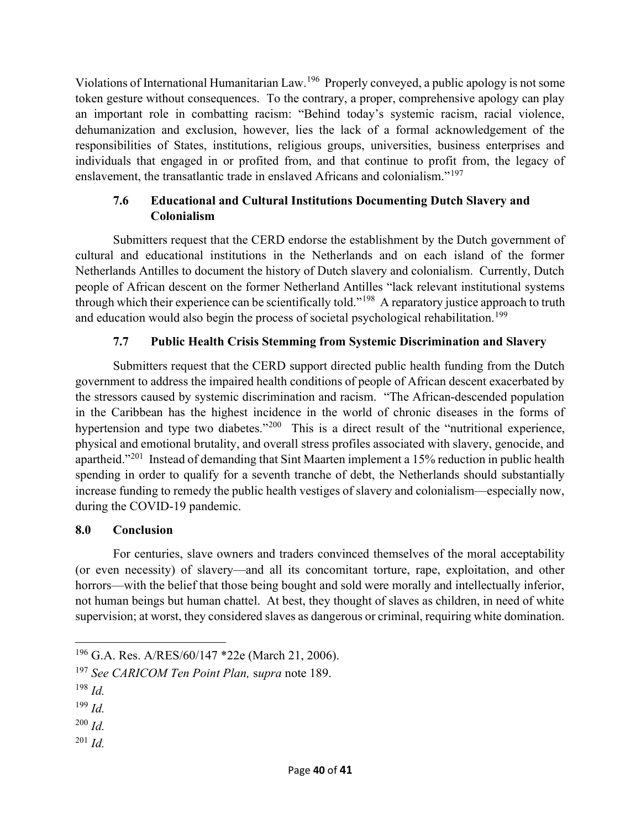Violations of International Humanitarian Law.<sup>196</sup> Properly conveyed, a public apology is not some token gesture without consequences. To the contrary, a proper, comprehensive apology can play an important role in combatting racism: "Behind today's systemic racism, racial violence, dehumanization and exclusion, however, lies the lack of a formal acknowledgement of the responsibilities of States, institutions, religious groups, universities, business enterprises and individuals that engaged in or profited from, and that continue to profit from, the legacy of enslavement, the transatlantic trade in enslaved Africans and colonialism."<sup>197</sup>

# 7.6 Educational and Cultural Institutions Documenting Dutch Slavery and Colonialism

 Submitters request that the CERD endorse the establishment by the Dutch government of cultural and educational institutions in the Netherlands and on each island of the former Netherlands Antilles to document the history of Dutch slavery and colonialism. Currently, Dutch people of African descent on the former Netherland Antilles "lack relevant institutional systems through which their experience can be scientifically told."<sup>198</sup> A reparatory justice approach to truth and education would also begin the process of societal psychological rehabilitation.<sup>199</sup>

# 7.7 Public Health Crisis Stemming from Systemic Discrimination and Slavery

Submitters request that the CERD support directed public health funding from the Dutch government to address the impaired health conditions of people of African descent exacerbated by the stressors caused by systemic discrimination and racism. "The African-descended population in the Caribbean has the highest incidence in the world of chronic diseases in the forms of hypertension and type two diabetes."<sup>200</sup> This is a direct result of the "nutritional experience, physical and emotional brutality, and overall stress profiles associated with slavery, genocide, and apartheid."<sup>201</sup> Instead of demanding that Sint Maarten implement a 15% reduction in public health spending in order to qualify for a seventh tranche of debt, the Netherlands should substantially increase funding to remedy the public health vestiges of slavery and colonialism—especially now, during the COVID-19 pandemic.

# 8.0 Conclusion

For centuries, slave owners and traders convinced themselves of the moral acceptability (or even necessity) of slavery—and all its concomitant torture, rape, exploitation, and other horrors—with the belief that those being bought and sold were morally and intellectually inferior, not human beings but human chattel. At best, they thought of slaves as children, in need of white supervision; at worst, they considered slaves as dangerous or criminal, requiring white domination.

- $^{200}$  *Id.*
- $^{201}$  *Id*.

<sup>196</sup> G.A. Res. A/RES/60/147 \*22e (March 21, 2006).

<sup>&</sup>lt;sup>197</sup> See CARICOM Ten Point Plan, supra note 189.

 $198$  Id.

 $199$  *Id.*